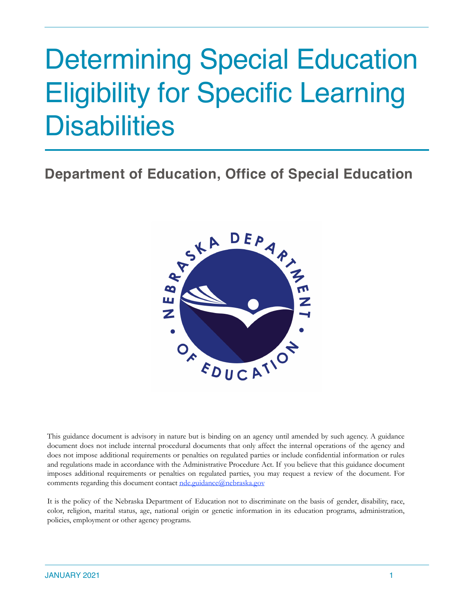# Determining Special Education Eligibility for Specific Learning **Disabilities**

# **Department of Education, Office of Special Education**



This guidance document is advisory in nature but is binding on an agency until amended by such agency. A guidance document does not include internal procedural documents that only affect the internal operations of the agency and does not impose additional requirements or penalties on regulated parties or include confidential information or rules and regulations made in accordance with the Administrative Procedure Act. If you believe that this guidance document imposes additional requirements or penalties on regulated parties, you may request a review of the document. For comments regarding this document contact [nde.guidance@nebraska.gov](mailto:nde.guidance@nebraska.gov)

It is the policy of the Nebraska Department of Education not to discriminate on the basis of gender, disability, race, color, religion, marital status, age, national origin or genetic information in its education programs, administration, policies, employment or other agency programs.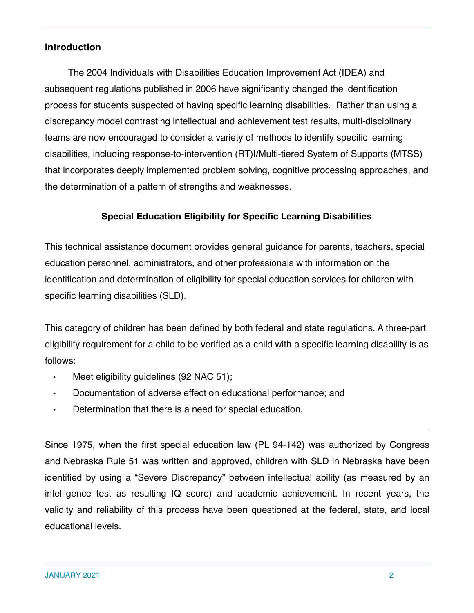#### **Introduction**

The 2004 Individuals with Disabilities Education Improvement Act (IDEA) and subsequent regulations published in 2006 have significantly changed the identification process for students suspected of having specific learning disabilities. Rather than using a discrepancy model contrasting intellectual and achievement test results, multi-disciplinary teams are now encouraged to consider a variety of methods to identify specific learning disabilities, including response-to-intervention (RT)I/Multi-tiered System of Supports (MTSS) that incorporates deeply implemented problem solving, cognitive processing approaches, and the determination of a pattern of strengths and weaknesses.

#### **Special Education Eligibility for Specific Learning Disabilities**

This technical assistance document provides general guidance for parents, teachers, special education personnel, administrators, and other professionals with information on the identification and determination of eligibility for special education services for children with specific learning disabilities (SLD).

This category of children has been defined by both federal and state regulations. A three-part eligibility requirement for a child to be verified as a child with a specific learning disability is as follows:

- $\cdot$  Meet eligibility guidelines (92 NAC 51);
- Documentation of adverse effect on educational performance; and
- Determination that there is a need for special education.

Since 1975, when the first special education law (PL 94-142) was authorized by Congress and Nebraska Rule 51 was written and approved, children with SLD in Nebraska have been identified by using a "Severe Discrepancy" between intellectual ability (as measured by an intelligence test as resulting IQ score) and academic achievement. In recent years, the validity and reliability of this process have been questioned at the federal, state, and local educational levels.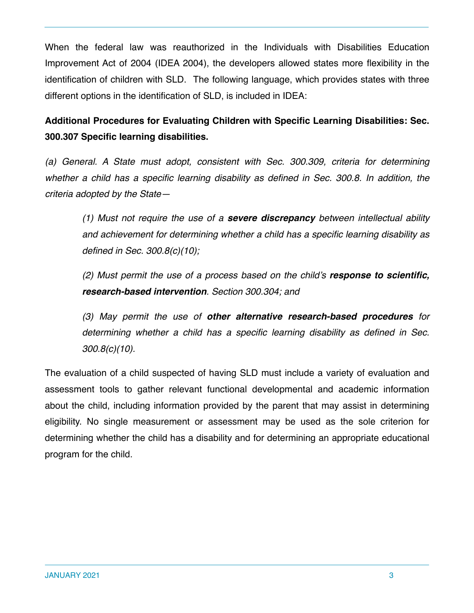When the federal law was reauthorized in the Individuals with Disabilities Education Improvement Act of 2004 (IDEA 2004), the developers allowed states more flexibility in the identification of children with SLD. The following language, which provides states with three different options in the identification of SLD, is included in IDEA:

# **Additional Procedures for Evaluating Children with Specific Learning Disabilities: Sec. 300.307 Specific learning disabilities.**

*(a) General. A State must adopt, consistent with Sec. 300.309, criteria for determining whether a child has a specific learning disability as defined in Sec. 300.8. In addition, the criteria adopted by the State—*

*(1) Must not require the use of a severe discrepancy between intellectual ability and achievement for determining whether a child has a specific learning disability as defined in Sec. 300.8(c)(10);*

*(2) Must permit the use of a process based on the child's response to scientific, research-based intervention. Section 300.304; and*

*(3) May permit the use of other alternative research-based procedures for determining whether a child has a specific learning disability as defined in Sec. 300.8(c)(10).*

The evaluation of a child suspected of having SLD must include a variety of evaluation and assessment tools to gather relevant functional developmental and academic information about the child, including information provided by the parent that may assist in determining eligibility. No single measurement or assessment may be used as the sole criterion for determining whether the child has a disability and for determining an appropriate educational program for the child.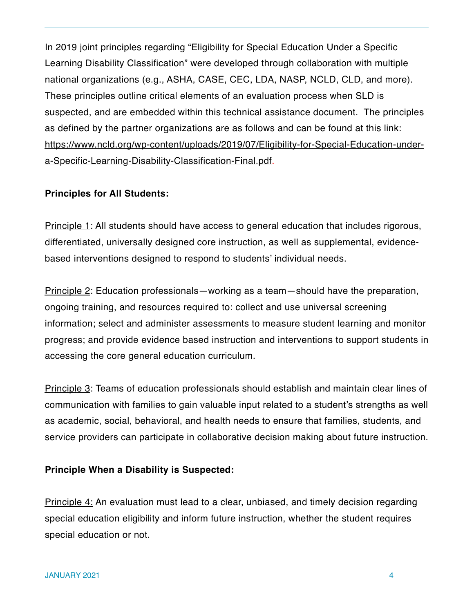In 2019 joint principles regarding "Eligibility for Special Education Under a Specific Learning Disability Classification" were developed through collaboration with multiple national organizations (e.g., ASHA, CASE, CEC, LDA, NASP, NCLD, CLD, and more). These principles outline critical elements of an evaluation process when SLD is suspected, and are embedded within this technical assistance document. The principles as defined by the partner organizations are as follows and can be found at this link: [https://www.ncld.org/wp-content/uploads/2019/07/Eligibility-for-Special-Education-under](https://www.ncld.org/wp-content/uploads/2019/07/Eligibility-for-Special-Education-under-a-Specific-Learning-Disability-Classification-Final.pdf)[a-Specific-Learning-Disability-Classification-Final.pdf](https://www.ncld.org/wp-content/uploads/2019/07/Eligibility-for-Special-Education-under-a-Specific-Learning-Disability-Classification-Final.pdf).

#### **Principles for All Students:**

Principle 1: All students should have access to general education that includes rigorous, differentiated, universally designed core instruction, as well as supplemental, evidencebased interventions designed to respond to students' individual needs.

Principle 2: Education professionals—working as a team—should have the preparation, ongoing training, and resources required to: collect and use universal screening information; select and administer assessments to measure student learning and monitor progress; and provide evidence based instruction and interventions to support students in accessing the core general education curriculum.

Principle 3: Teams of education professionals should establish and maintain clear lines of communication with families to gain valuable input related to a student's strengths as well as academic, social, behavioral, and health needs to ensure that families, students, and service providers can participate in collaborative decision making about future instruction.

#### **Principle When a Disability is Suspected:**

Principle 4: An evaluation must lead to a clear, unbiased, and timely decision regarding special education eligibility and inform future instruction, whether the student requires special education or not.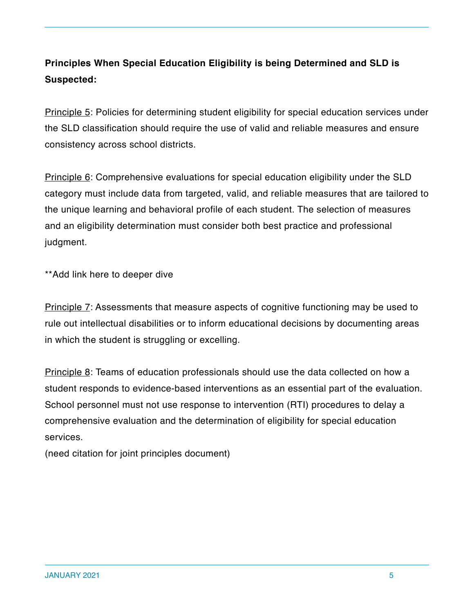# **Principles When Special Education Eligibility is being Determined and SLD is Suspected:**

Principle 5: Policies for determining student eligibility for special education services under the SLD classification should require the use of valid and reliable measures and ensure consistency across school districts.

Principle 6: Comprehensive evaluations for special education eligibility under the SLD category must include data from targeted, valid, and reliable measures that are tailored to the unique learning and behavioral profile of each student. The selection of measures and an eligibility determination must consider both best practice and professional judgment.

\*\*Add link here to deeper dive

Principle 7: Assessments that measure aspects of cognitive functioning may be used to rule out intellectual disabilities or to inform educational decisions by documenting areas in which the student is struggling or excelling.

Principle 8: Teams of education professionals should use the data collected on how a student responds to evidence-based interventions as an essential part of the evaluation. School personnel must not use response to intervention (RTI) procedures to delay a comprehensive evaluation and the determination of eligibility for special education services.

(need citation for joint principles document)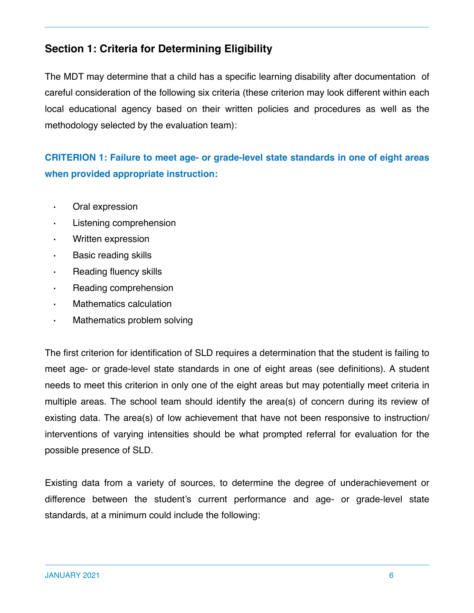## **Section 1: Criteria for Determining Eligibility**

The MDT may determine that a child has a specific learning disability after documentation of careful consideration of the following six criteria (these criterion may look different within each local educational agency based on their written policies and procedures as well as the methodology selected by the evaluation team):

# **CRITERION 1: Failure to meet age- or grade-level state standards in one of eight areas when provided appropriate instruction:**

- Oral expression
- Listening comprehension
- Written expression
- Basic reading skills
- Reading fluency skills
- Reading comprehension
- Mathematics calculation
- Mathematics problem solving

The first criterion for identification of SLD requires a determination that the student is failing to meet age- or grade-level state standards in one of eight areas (see definitions). A student needs to meet this criterion in only one of the eight areas but may potentially meet criteria in multiple areas. The school team should identify the area(s) of concern during its review of existing data. The area(s) of low achievement that have not been responsive to instruction/ interventions of varying intensities should be what prompted referral for evaluation for the possible presence of SLD.

Existing data from a variety of sources, to determine the degree of underachievement or difference between the student's current performance and age- or grade-level state standards, at a minimum could include the following: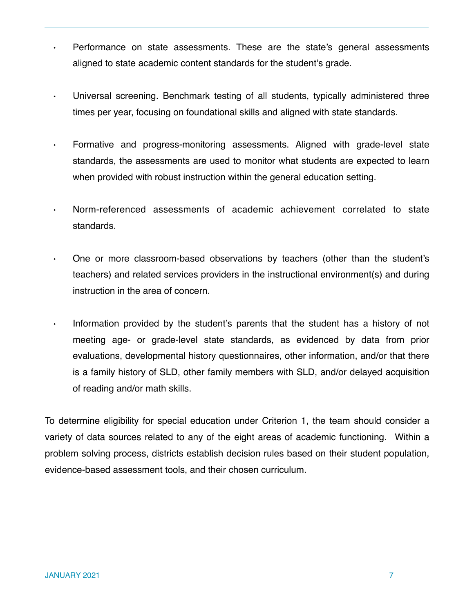- Performance on state assessments. These are the state's general assessments aligned to state academic content standards for the student's grade.
- Universal screening. Benchmark testing of all students, typically administered three times per year, focusing on foundational skills and aligned with state standards.
- Formative and progress-monitoring assessments. Aligned with grade-level state standards, the assessments are used to monitor what students are expected to learn when provided with robust instruction within the general education setting.
- Norm-referenced assessments of academic achievement correlated to state standards.
- One or more classroom-based observations by teachers (other than the student's teachers) and related services providers in the instructional environment(s) and during instruction in the area of concern.
- Information provided by the student's parents that the student has a history of not meeting age- or grade-level state standards, as evidenced by data from prior evaluations, developmental history questionnaires, other information, and/or that there is a family history of SLD, other family members with SLD, and/or delayed acquisition of reading and/or math skills.

To determine eligibility for special education under Criterion 1, the team should consider a variety of data sources related to any of the eight areas of academic functioning. Within a problem solving process, districts establish decision rules based on their student population, evidence-based assessment tools, and their chosen curriculum.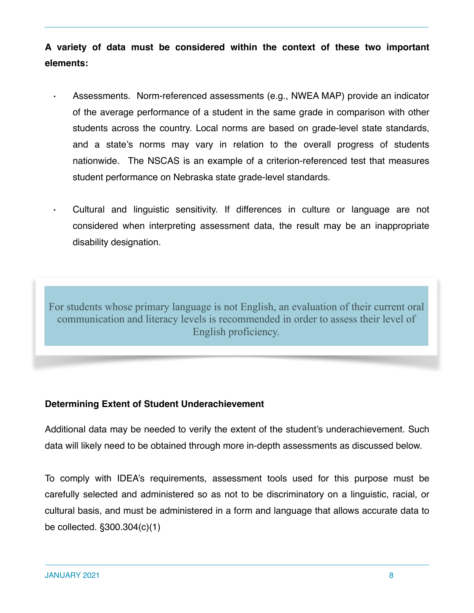**A variety of data must be considered within the context of these two important elements:**

- Assessments. Norm-referenced assessments (e.g., NWEA MAP) provide an indicator of the average performance of a student in the same grade in comparison with other students across the country. Local norms are based on grade-level state standards, and a state's norms may vary in relation to the overall progress of students nationwide. The NSCAS is an example of a criterion-referenced test that measures student performance on Nebraska state grade-level standards.
- Cultural and linguistic sensitivity. If differences in culture or language are not considered when interpreting assessment data, the result may be an inappropriate disability designation.

For students whose primary language is not English, an evaluation of their current oral communication and literacy levels is recommended in order to assess their level of English proficiency.

#### **Determining Extent of Student Underachievement**

Additional data may be needed to verify the extent of the student's underachievement. Such data will likely need to be obtained through more in-depth assessments as discussed below.

To comply with IDEA's requirements, assessment tools used for this purpose must be carefully selected and administered so as not to be discriminatory on a linguistic, racial, or cultural basis, and must be administered in a form and language that allows accurate data to be collected. §300.304(c)(1)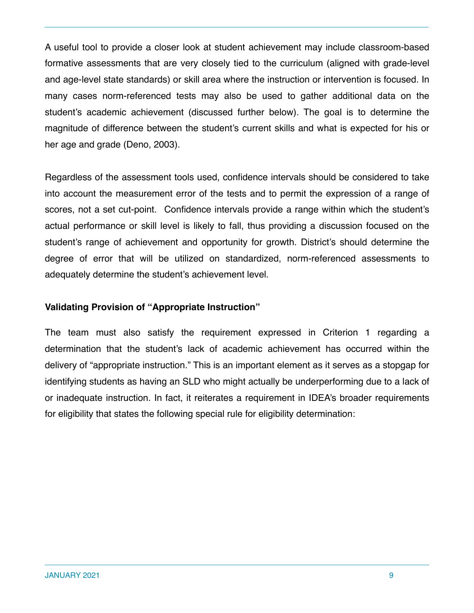A useful tool to provide a closer look at student achievement may include classroom-based formative assessments that are very closely tied to the curriculum (aligned with grade-level and age-level state standards) or skill area where the instruction or intervention is focused. In many cases norm-referenced tests may also be used to gather additional data on the student's academic achievement (discussed further below). The goal is to determine the magnitude of difference between the student's current skills and what is expected for his or her age and grade (Deno, 2003).

Regardless of the assessment tools used, confidence intervals should be considered to take into account the measurement error of the tests and to permit the expression of a range of scores, not a set cut-point. Confidence intervals provide a range within which the student's actual performance or skill level is likely to fall, thus providing a discussion focused on the student's range of achievement and opportunity for growth. District's should determine the degree of error that will be utilized on standardized, norm-referenced assessments to adequately determine the student's achievement level.

#### **Validating Provision of "Appropriate Instruction"**

The team must also satisfy the requirement expressed in Criterion 1 regarding a determination that the student's lack of academic achievement has occurred within the delivery of "appropriate instruction." This is an important element as it serves as a stopgap for identifying students as having an SLD who might actually be underperforming due to a lack of or inadequate instruction. In fact, it reiterates a requirement in IDEA's broader requirements for eligibility that states the following special rule for eligibility determination: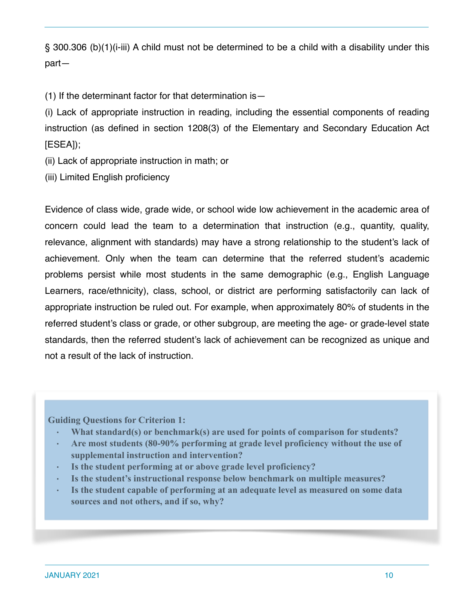§ 300.306 (b)(1)(i-iii) A child must not be determined to be a child with a disability under this part—

(1) If the determinant factor for that determination is—

(i) Lack of appropriate instruction in reading, including the essential components of reading instruction (as defined in section 1208(3) of the Elementary and Secondary Education Act [ESEA]);

(ii) Lack of appropriate instruction in math; or

(iii) Limited English proficiency

Evidence of class wide, grade wide, or school wide low achievement in the academic area of concern could lead the team to a determination that instruction (e.g., quantity, quality, relevance, alignment with standards) may have a strong relationship to the student's lack of achievement. Only when the team can determine that the referred student's academic problems persist while most students in the same demographic (e.g., English Language Learners, race/ethnicity), class, school, or district are performing satisfactorily can lack of appropriate instruction be ruled out. For example, when approximately 80% of students in the referred student's class or grade, or other subgroup, are meeting the age- or grade-level state standards, then the referred student's lack of achievement can be recognized as unique and not a result of the lack of instruction.

**Guiding Questions for Criterion 1:** 

- **What standard(s) or benchmark(s) are used for points of comparison for students?**
- **Are most students (80-90% performing at grade level proficiency without the use of supplemental instruction and intervention?**
- **Is the student performing at or above grade level proficiency?**
- **Is the student's instructional response below benchmark on multiple measures?**
- **Is the student capable of performing at an adequate level as measured on some data sources and not others, and if so, why?**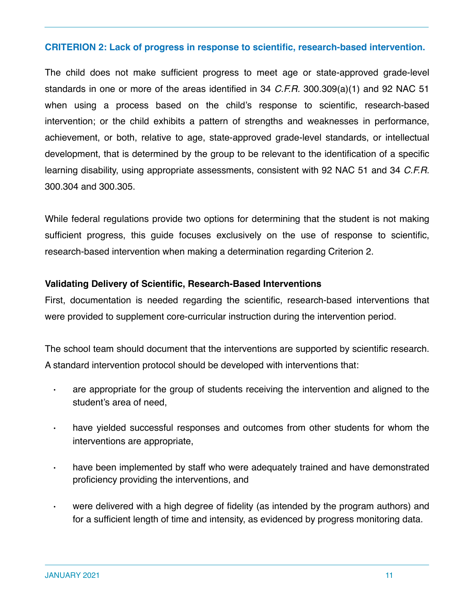#### **CRITERION 2: Lack of progress in response to scientific, research-based intervention.**

The child does not make sufficient progress to meet age or state-approved grade-level standards in one or more of the areas identified in 34 *C.F.R.* 300.309(a)(1) and 92 NAC 51 when using a process based on the child's response to scientific, research-based intervention; or the child exhibits a pattern of strengths and weaknesses in performance, achievement, or both, relative to age, state-approved grade-level standards, or intellectual development, that is determined by the group to be relevant to the identification of a specific learning disability, using appropriate assessments, consistent with 92 NAC 51 and 34 *C.F.R.*  300.304 and 300.305.

While federal regulations provide two options for determining that the student is not making sufficient progress, this guide focuses exclusively on the use of response to scientific, research-based intervention when making a determination regarding Criterion 2.

#### **Validating Delivery of Scientific, Research-Based Interventions**

First, documentation is needed regarding the scientific, research-based interventions that were provided to supplement core-curricular instruction during the intervention period.

The school team should document that the interventions are supported by scientific research. A standard intervention protocol should be developed with interventions that:

- are appropriate for the group of students receiving the intervention and aligned to the student's area of need,
- have yielded successful responses and outcomes from other students for whom the interventions are appropriate,
- have been implemented by staff who were adequately trained and have demonstrated proficiency providing the interventions, and
- were delivered with a high degree of fidelity (as intended by the program authors) and for a sufficient length of time and intensity, as evidenced by progress monitoring data.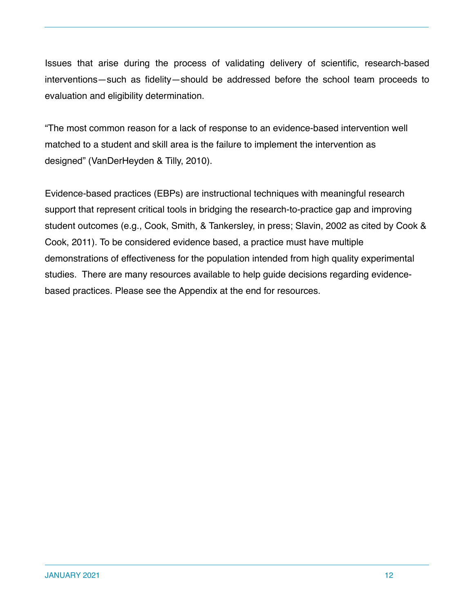Issues that arise during the process of validating delivery of scientific, research-based interventions—such as fidelity—should be addressed before the school team proceeds to evaluation and eligibility determination.

"The most common reason for a lack of response to an evidence-based intervention well matched to a student and skill area is the failure to implement the intervention as designed" (VanDerHeyden & Tilly, 2010).

Evidence-based practices (EBPs) are instructional techniques with meaningful research support that represent critical tools in bridging the research-to-practice gap and improving student outcomes (e.g., Cook, Smith, & Tankersley, in press; Slavin, 2002 as cited by Cook & Cook, 2011). To be considered evidence based, a practice must have multiple demonstrations of effectiveness for the population intended from high quality experimental studies. There are many resources available to help guide decisions regarding evidencebased practices. Please see the Appendix at the end for resources.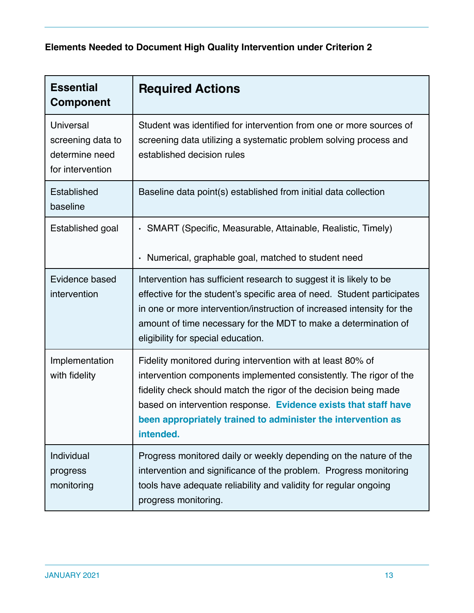# **Elements Needed to Document High Quality Intervention under Criterion 2**

| <b>Essential</b><br><b>Component</b>                                        | <b>Required Actions</b>                                                                                                                                                                                                                                                                                                                               |
|-----------------------------------------------------------------------------|-------------------------------------------------------------------------------------------------------------------------------------------------------------------------------------------------------------------------------------------------------------------------------------------------------------------------------------------------------|
| <b>Universal</b><br>screening data to<br>determine need<br>for intervention | Student was identified for intervention from one or more sources of<br>screening data utilizing a systematic problem solving process and<br>established decision rules                                                                                                                                                                                |
| Established<br>baseline                                                     | Baseline data point(s) established from initial data collection                                                                                                                                                                                                                                                                                       |
| Established goal                                                            | · SMART (Specific, Measurable, Attainable, Realistic, Timely)<br>Numerical, graphable goal, matched to student need<br>$\bullet$                                                                                                                                                                                                                      |
| Evidence based<br>intervention                                              | Intervention has sufficient research to suggest it is likely to be<br>effective for the student's specific area of need. Student participates<br>in one or more intervention/instruction of increased intensity for the<br>amount of time necessary for the MDT to make a determination of<br>eligibility for special education.                      |
| Implementation<br>with fidelity                                             | Fidelity monitored during intervention with at least 80% of<br>intervention components implemented consistently. The rigor of the<br>fidelity check should match the rigor of the decision being made<br>based on intervention response. Evidence exists that staff have<br>been appropriately trained to administer the intervention as<br>intended. |
| Individual<br>progress<br>monitoring                                        | Progress monitored daily or weekly depending on the nature of the<br>intervention and significance of the problem. Progress monitoring<br>tools have adequate reliability and validity for regular ongoing<br>progress monitoring.                                                                                                                    |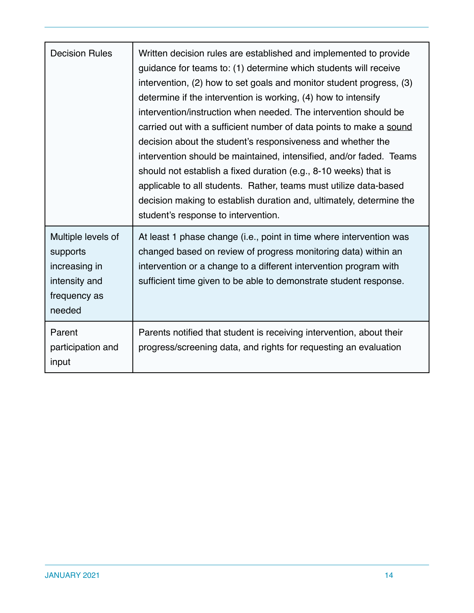| <b>Decision Rules</b>                                                                      | Written decision rules are established and implemented to provide<br>guidance for teams to: (1) determine which students will receive<br>intervention, (2) how to set goals and monitor student progress, (3)<br>determine if the intervention is working, (4) how to intensify<br>intervention/instruction when needed. The intervention should be<br>carried out with a sufficient number of data points to make a sound<br>decision about the student's responsiveness and whether the<br>intervention should be maintained, intensified, and/or faded. Teams<br>should not establish a fixed duration (e.g., 8-10 weeks) that is<br>applicable to all students. Rather, teams must utilize data-based<br>decision making to establish duration and, ultimately, determine the<br>student's response to intervention. |
|--------------------------------------------------------------------------------------------|--------------------------------------------------------------------------------------------------------------------------------------------------------------------------------------------------------------------------------------------------------------------------------------------------------------------------------------------------------------------------------------------------------------------------------------------------------------------------------------------------------------------------------------------------------------------------------------------------------------------------------------------------------------------------------------------------------------------------------------------------------------------------------------------------------------------------|
| Multiple levels of<br>supports<br>increasing in<br>intensity and<br>frequency as<br>needed | At least 1 phase change (i.e., point in time where intervention was<br>changed based on review of progress monitoring data) within an<br>intervention or a change to a different intervention program with<br>sufficient time given to be able to demonstrate student response.                                                                                                                                                                                                                                                                                                                                                                                                                                                                                                                                          |
| Parent<br>participation and<br>input                                                       | Parents notified that student is receiving intervention, about their<br>progress/screening data, and rights for requesting an evaluation                                                                                                                                                                                                                                                                                                                                                                                                                                                                                                                                                                                                                                                                                 |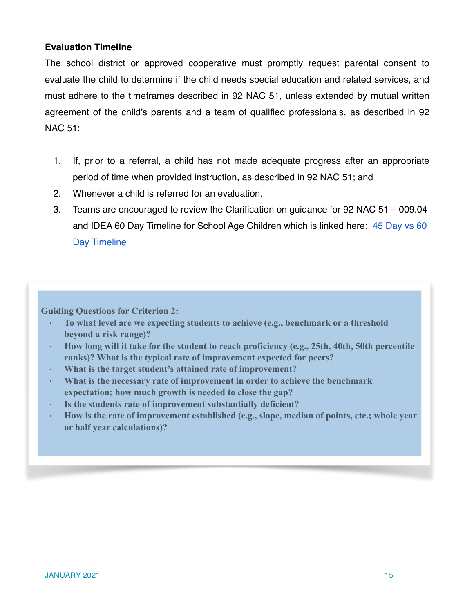#### **Evaluation Timeline**

The school district or approved cooperative must promptly request parental consent to evaluate the child to determine if the child needs special education and related services, and must adhere to the timeframes described in 92 NAC 51, unless extended by mutual written agreement of the child's parents and a team of qualified professionals, as described in 92 NAC 51:

- 1. If, prior to a referral, a child has not made adequate progress after an appropriate period of time when provided instruction, as described in 92 NAC 51; and
- 2. Whenever a child is referred for an evaluation.
- 3. Teams are encouraged to review the Clarification on guidance for 92 NAC 51 009.04 and IDEA 60 Day Timeline for School Age Children which is linked here: [45 Day vs 60](https://cdn.education.ne.gov/wp-content/uploads/2019/12/45-school-day-vs-60-day-guidance.pdf)  [Day Timeline](https://cdn.education.ne.gov/wp-content/uploads/2019/12/45-school-day-vs-60-day-guidance.pdf)

**Guiding Questions for Criterion 2:** 

- **To what level are we expecting students to achieve (e.g., benchmark or a threshold beyond a risk range)?**
- **How long will it take for the student to reach proficiency (e.g., 25th, 40th, 50th percentile ranks)? What is the typical rate of improvement expected for peers?**
- **What is the target student's attained rate of improvement?**
- **What is the necessary rate of improvement in order to achieve the benchmark expectation; how much growth is needed to close the gap?**
- **Is the students rate of improvement substantially deficient?**
- **How is the rate of improvement established (e.g., slope, median of points, etc.; whole year or half year calculations)?**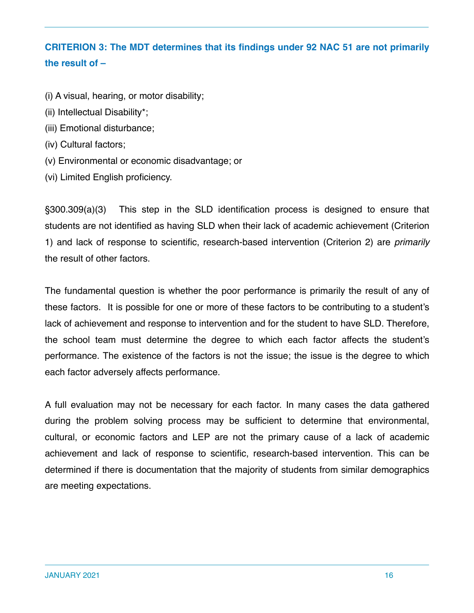# **CRITERION 3: The MDT determines that its findings under 92 NAC 51 are not primarily the result of –**

- (i) A visual, hearing, or motor disability;
- (ii) Intellectual Disability\*;
- (iii) Emotional disturbance;
- (iv) Cultural factors;
- (v) Environmental or economic disadvantage; or
- (vi) Limited English proficiency.

§300.309(a)(3) This step in the SLD identification process is designed to ensure that students are not identified as having SLD when their lack of academic achievement (Criterion 1) and lack of response to scientific, research-based intervention (Criterion 2) are *primarily* the result of other factors.

The fundamental question is whether the poor performance is primarily the result of any of these factors. It is possible for one or more of these factors to be contributing to a student's lack of achievement and response to intervention and for the student to have SLD. Therefore, the school team must determine the degree to which each factor affects the student's performance. The existence of the factors is not the issue; the issue is the degree to which each factor adversely affects performance.

A full evaluation may not be necessary for each factor. In many cases the data gathered during the problem solving process may be sufficient to determine that environmental, cultural, or economic factors and LEP are not the primary cause of a lack of academic achievement and lack of response to scientific, research-based intervention. This can be determined if there is documentation that the majority of students from similar demographics are meeting expectations.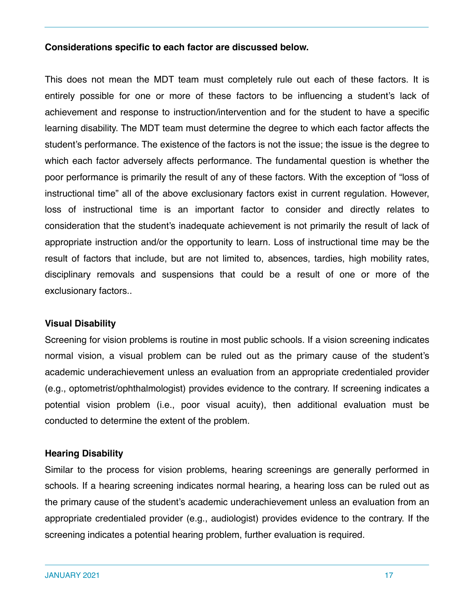#### **Considerations specific to each factor are discussed below.**

This does not mean the MDT team must completely rule out each of these factors. It is entirely possible for one or more of these factors to be influencing a student's lack of achievement and response to instruction/intervention and for the student to have a specific learning disability. The MDT team must determine the degree to which each factor affects the student's performance. The existence of the factors is not the issue; the issue is the degree to which each factor adversely affects performance. The fundamental question is whether the poor performance is primarily the result of any of these factors. With the exception of "loss of instructional time" all of the above exclusionary factors exist in current regulation. However, loss of instructional time is an important factor to consider and directly relates to consideration that the student's inadequate achievement is not primarily the result of lack of appropriate instruction and/or the opportunity to learn. Loss of instructional time may be the result of factors that include, but are not limited to, absences, tardies, high mobility rates, disciplinary removals and suspensions that could be a result of one or more of the exclusionary factors..

#### **Visual Disability**

Screening for vision problems is routine in most public schools. If a vision screening indicates normal vision, a visual problem can be ruled out as the primary cause of the student's academic underachievement unless an evaluation from an appropriate credentialed provider (e.g., optometrist/ophthalmologist) provides evidence to the contrary. If screening indicates a potential vision problem (i.e., poor visual acuity), then additional evaluation must be conducted to determine the extent of the problem.

#### **Hearing Disability**

Similar to the process for vision problems, hearing screenings are generally performed in schools. If a hearing screening indicates normal hearing, a hearing loss can be ruled out as the primary cause of the student's academic underachievement unless an evaluation from an appropriate credentialed provider (e.g., audiologist) provides evidence to the contrary. If the screening indicates a potential hearing problem, further evaluation is required.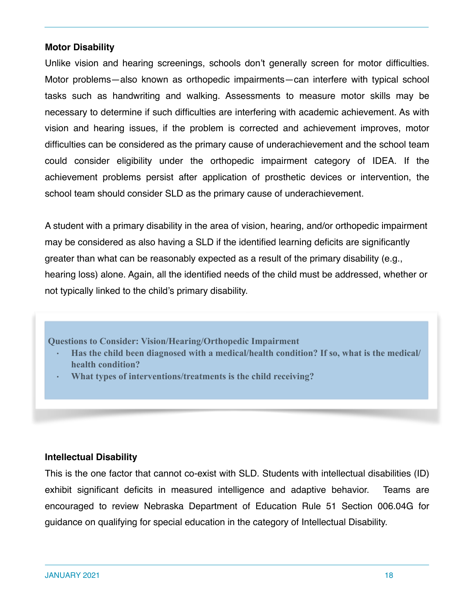#### **Motor Disability**

Unlike vision and hearing screenings, schools don't generally screen for motor difficulties. Motor problems—also known as orthopedic impairments—can interfere with typical school tasks such as handwriting and walking. Assessments to measure motor skills may be necessary to determine if such difficulties are interfering with academic achievement. As with vision and hearing issues, if the problem is corrected and achievement improves, motor difficulties can be considered as the primary cause of underachievement and the school team could consider eligibility under the orthopedic impairment category of IDEA. If the achievement problems persist after application of prosthetic devices or intervention, the school team should consider SLD as the primary cause of underachievement.

A student with a primary disability in the area of vision, hearing, and/or orthopedic impairment may be considered as also having a SLD if the identified learning deficits are significantly greater than what can be reasonably expected as a result of the primary disability (e.g., hearing loss) alone. Again, all the identified needs of the child must be addressed, whether or not typically linked to the child's primary disability.

**Questions to Consider: Vision/Hearing/Orthopedic Impairment** 

- **Has the child been diagnosed with a medical/health condition? If so, what is the medical/ health condition?**
- **What types of interventions/treatments is the child receiving?**

#### **Intellectual Disability**

This is the one factor that cannot co-exist with SLD. Students with intellectual disabilities (ID) exhibit significant deficits in measured intelligence and adaptive behavior. Teams are encouraged to review Nebraska Department of Education Rule 51 Section 006.04G for guidance on qualifying for special education in the category of Intellectual Disability.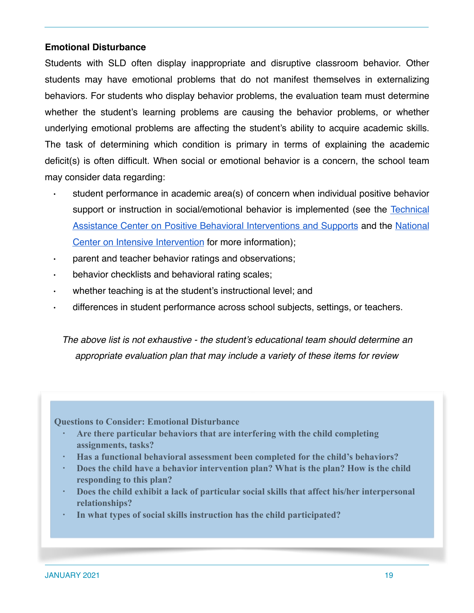#### **Emotional Disturbance**

Students with SLD often display inappropriate and disruptive classroom behavior. Other students may have emotional problems that do not manifest themselves in externalizing behaviors. For students who display behavior problems, the evaluation team must determine whether the student's learning problems are causing the behavior problems, or whether underlying emotional problems are affecting the student's ability to acquire academic skills. The task of determining which condition is primary in terms of explaining the academic deficit(s) is often difficult. When social or emotional behavior is a concern, the school team may consider data regarding:

- student performance in academic area(s) of concern when individual positive behavior support or instruction in social/emotional behavior is implemented (see th[e Technical](https://www.pbis.org/) [Assistance Center on Positive Behavioral Interventions and Supports](https://www.pbis.org/) and th[e National](http://www.intensiveintervention.org/) [Center on Intensive Intervention](http://www.intensiveintervention.org/) for more information);
- parent and teacher behavior ratings and observations;
- behavior checklists and behavioral rating scales;
- whether teaching is at the student's instructional level; and
- differences in student performance across school subjects, settings, or teachers.

*The above list is not exhaustive - the student's educational team should determine an appropriate evaluation plan that may include a variety of these items for review*

**Questions to Consider: Emotional Disturbance** 

- **Are there particular behaviors that are interfering with the child completing assignments, tasks?**
- **Has a functional behavioral assessment been completed for the child's behaviors?**
- **Does the child have a behavior intervention plan? What is the plan? How is the child responding to this plan?**
- **Does the child exhibit a lack of particular social skills that affect his/her interpersonal relationships?**
- **In what types of social skills instruction has the child participated?**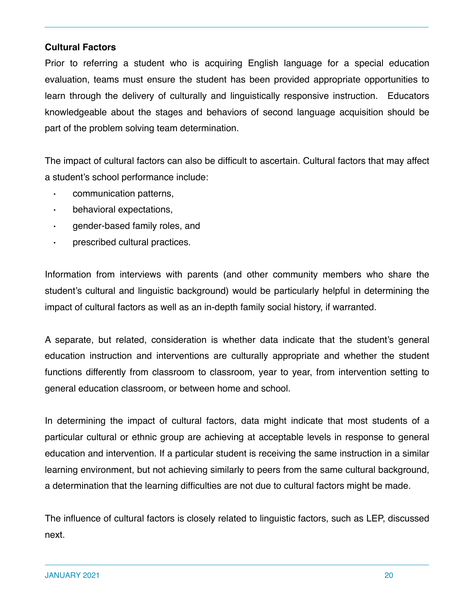#### **Cultural Factors**

Prior to referring a student who is acquiring English language for a special education evaluation, teams must ensure the student has been provided appropriate opportunities to learn through the delivery of culturally and linguistically responsive instruction. Educators knowledgeable about the stages and behaviors of second language acquisition should be part of the problem solving team determination.

The impact of cultural factors can also be difficult to ascertain. Cultural factors that may affect a student's school performance include:

- communication patterns,
- behavioral expectations,
- gender-based family roles, and
- prescribed cultural practices.

Information from interviews with parents (and other community members who share the student's cultural and linguistic background) would be particularly helpful in determining the impact of cultural factors as well as an in-depth family social history, if warranted.

A separate, but related, consideration is whether data indicate that the student's general education instruction and interventions are culturally appropriate and whether the student functions differently from classroom to classroom, year to year, from intervention setting to general education classroom, or between home and school.

In determining the impact of cultural factors, data might indicate that most students of a particular cultural or ethnic group are achieving at acceptable levels in response to general education and intervention. If a particular student is receiving the same instruction in a similar learning environment, but not achieving similarly to peers from the same cultural background, a determination that the learning difficulties are not due to cultural factors might be made.

The influence of cultural factors is closely related to linguistic factors, such as LEP, discussed next.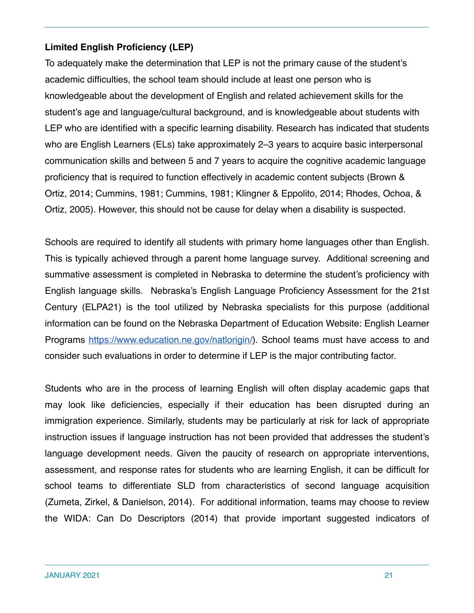#### **Limited English Proficiency (LEP)**

To adequately make the determination that LEP is not the primary cause of the student's academic difficulties, the school team should include at least one person who is knowledgeable about the development of English and related achievement skills for the student's age and language/cultural background, and is knowledgeable about students with LEP who are identified with a specific learning disability. Research has indicated that students who are English Learners (ELs) take approximately 2–3 years to acquire basic interpersonal communication skills and between 5 and 7 years to acquire the cognitive academic language proficiency that is required to function effectively in academic content subjects (Brown & Ortiz, 2014; Cummins, 1981; Cummins, 1981; Klingner & Eppolito, 2014; Rhodes, Ochoa, & Ortiz, 2005). However, this should not be cause for delay when a disability is suspected.

Schools are required to identify all students with primary home languages other than English. This is typically achieved through a parent home language survey. Additional screening and summative assessment is completed in Nebraska to determine the student's proficiency with English language skills. Nebraska's English Language Proficiency Assessment for the 21st Century (ELPA21) is the tool utilized by Nebraska specialists for this purpose (additional information can be found on the Nebraska Department of Education Website: English Learner Programs <https://www.education.ne.gov/natlorigin/>). School teams must have access to and consider such evaluations in order to determine if LEP is the major contributing factor.

Students who are in the process of learning English will often display academic gaps that may look like deficiencies, especially if their education has been disrupted during an immigration experience. Similarly, students may be particularly at risk for lack of appropriate instruction issues if language instruction has not been provided that addresses the student's language development needs. Given the paucity of research on appropriate interventions, assessment, and response rates for students who are learning English, it can be difficult for school teams to differentiate SLD from characteristics of second language acquisition (Zumeta, Zirkel, & Danielson, 2014)*.* For additional information, teams may choose to review the WIDA: Can Do Descriptors (2014) that provide important suggested indicators of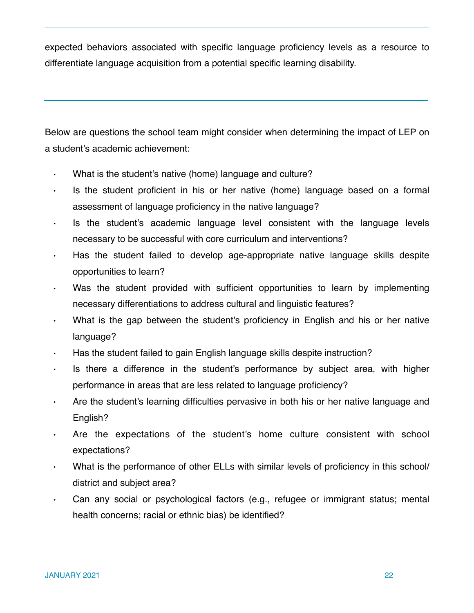expected behaviors associated with specific language proficiency levels as a resource to differentiate language acquisition from a potential specific learning disability.

Below are questions the school team might consider when determining the impact of LEP on a student's academic achievement:

- What is the student's native (home) language and culture?
- Is the student proficient in his or her native (home) language based on a formal assessment of language proficiency in the native language?
- Is the student's academic language level consistent with the language levels necessary to be successful with core curriculum and interventions?
- Has the student failed to develop age-appropriate native language skills despite opportunities to learn?
- Was the student provided with sufficient opportunities to learn by implementing necessary differentiations to address cultural and linguistic features?
- What is the gap between the student's proficiency in English and his or her native language?
- Has the student failed to gain English language skills despite instruction?
- Is there a difference in the student's performance by subject area, with higher performance in areas that are less related to language proficiency?
- Are the student's learning difficulties pervasive in both his or her native language and English?
- Are the expectations of the student's home culture consistent with school expectations?
- What is the performance of other ELLs with similar levels of proficiency in this school/ district and subject area?
- Can any social or psychological factors (e.g., refugee or immigrant status; mental health concerns; racial or ethnic bias) be identified?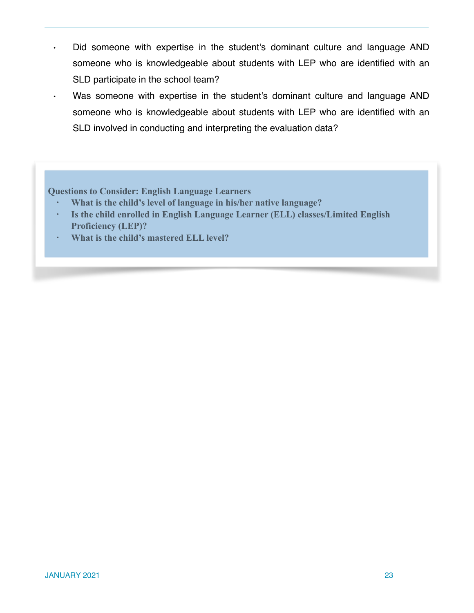- Did someone with expertise in the student's dominant culture and language AND someone who is knowledgeable about students with LEP who are identified with an SLD participate in the school team?
- Was someone with expertise in the student's dominant culture and language AND someone who is knowledgeable about students with LEP who are identified with an SLD involved in conducting and interpreting the evaluation data?

**Questions to Consider: English Language Learners** 

- **What is the child's level of language in his/her native language?**
- **Is the child enrolled in English Language Learner (ELL) classes/Limited English Proficiency (LEP)?**
- **What is the child's mastered ELL level?**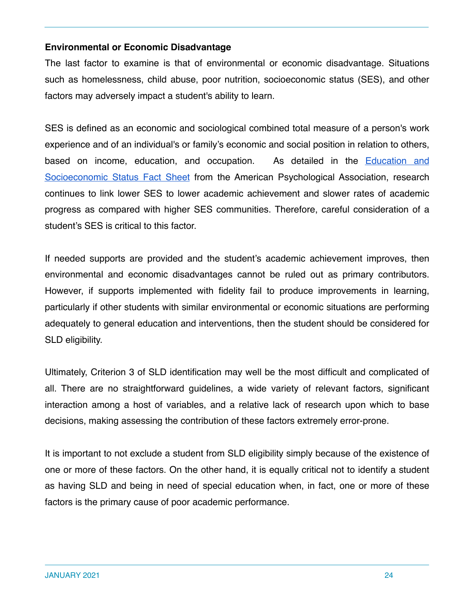#### **Environmental or Economic Disadvantage**

The last factor to examine is that of environmental or economic disadvantage. Situations such as homelessness, child abuse, poor nutrition, socioeconomic status (SES), and other factors may adversely impact a student's ability to learn.

SES is defined as an economic and sociological combined total measure of a person's work experience and of an individual's or family's economic and social position in relation to others, based on income, education, and occupation. As detailed in th[e Education and](http://www.apa.org/pi/ses/resources/publications/factsheet-education.aspx) [Socioeconomic Status Fact Sheet](http://www.apa.org/pi/ses/resources/publications/factsheet-education.aspx) from the American Psychological Association, research continues to link lower SES to lower academic achievement and slower rates of academic progress as compared with higher SES communities. Therefore, careful consideration of a student's SES is critical to this factor.

If needed supports are provided and the student's academic achievement improves, then environmental and economic disadvantages cannot be ruled out as primary contributors. However, if supports implemented with fidelity fail to produce improvements in learning, particularly if other students with similar environmental or economic situations are performing adequately to general education and interventions, then the student should be considered for SLD eligibility.

Ultimately, Criterion 3 of SLD identification may well be the most difficult and complicated of all. There are no straightforward guidelines, a wide variety of relevant factors, significant interaction among a host of variables, and a relative lack of research upon which to base decisions, making assessing the contribution of these factors extremely error-prone.

It is important to not exclude a student from SLD eligibility simply because of the existence of one or more of these factors. On the other hand, it is equally critical not to identify a student as having SLD and being in need of special education when, in fact, one or more of these factors is the primary cause of poor academic performance.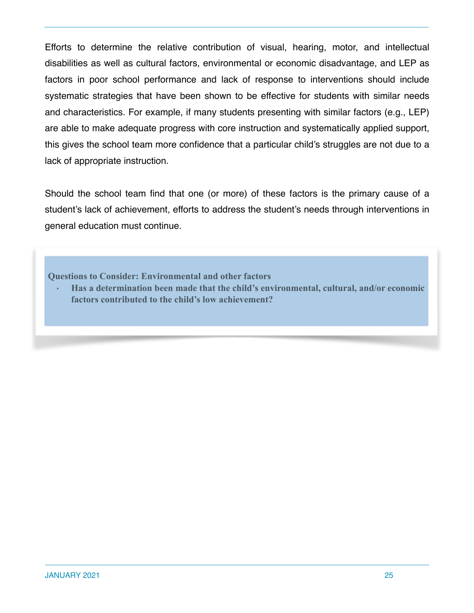Efforts to determine the relative contribution of visual, hearing, motor, and intellectual disabilities as well as cultural factors, environmental or economic disadvantage, and LEP as factors in poor school performance and lack of response to interventions should include systematic strategies that have been shown to be effective for students with similar needs and characteristics. For example, if many students presenting with similar factors (e.g., LEP) are able to make adequate progress with core instruction and systematically applied support, this gives the school team more confidence that a particular child's struggles are not due to a lack of appropriate instruction.

Should the school team find that one (or more) of these factors is the primary cause of a student's lack of achievement, efforts to address the student's needs through interventions in general education must continue.

**Questions to Consider: Environmental and other factors** 

• **Has a determination been made that the child's environmental, cultural, and/or economic factors contributed to the child's low achievement?**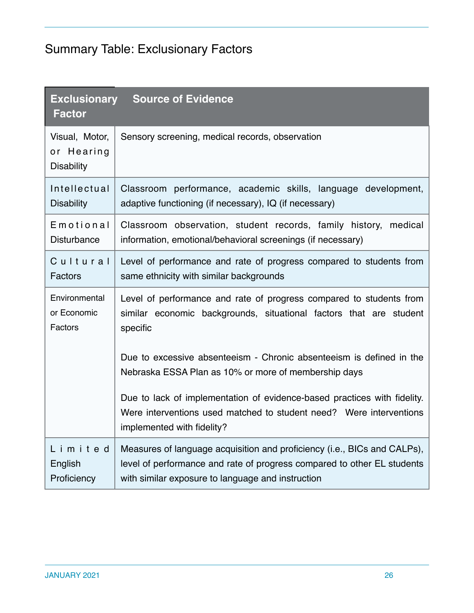# Summary Table: Exclusionary Factors

| <b>Exclusionary</b><br><b>Source of Evidence</b><br><b>Factor</b> |                                                                                                                                                                               |
|-------------------------------------------------------------------|-------------------------------------------------------------------------------------------------------------------------------------------------------------------------------|
| Visual, Motor,<br>or Hearing<br><b>Disability</b>                 | Sensory screening, medical records, observation                                                                                                                               |
| Intellectual                                                      | Classroom performance, academic skills, language development,                                                                                                                 |
| <b>Disability</b>                                                 | adaptive functioning (if necessary), IQ (if necessary)                                                                                                                        |
| Emotional                                                         | Classroom observation, student records, family history, medical                                                                                                               |
| <b>Disturbance</b>                                                | information, emotional/behavioral screenings (if necessary)                                                                                                                   |
| Cultural                                                          | Level of performance and rate of progress compared to students from                                                                                                           |
| <b>Factors</b>                                                    | same ethnicity with similar backgrounds                                                                                                                                       |
| Environmental                                                     | Level of performance and rate of progress compared to students from                                                                                                           |
| or Economic                                                       | similar economic backgrounds, situational factors that are student                                                                                                            |
| Factors                                                           | specific                                                                                                                                                                      |
|                                                                   | Due to excessive absenteeism - Chronic absenteeism is defined in the<br>Nebraska ESSA Plan as 10% or more of membership days                                                  |
|                                                                   | Due to lack of implementation of evidence-based practices with fidelity.<br>Were interventions used matched to student need? Were interventions<br>implemented with fidelity? |
| Limited                                                           | Measures of language acquisition and proficiency (i.e., BICs and CALPs),                                                                                                      |
| English                                                           | level of performance and rate of progress compared to other EL students                                                                                                       |
| Proficiency                                                       | with similar exposure to language and instruction                                                                                                                             |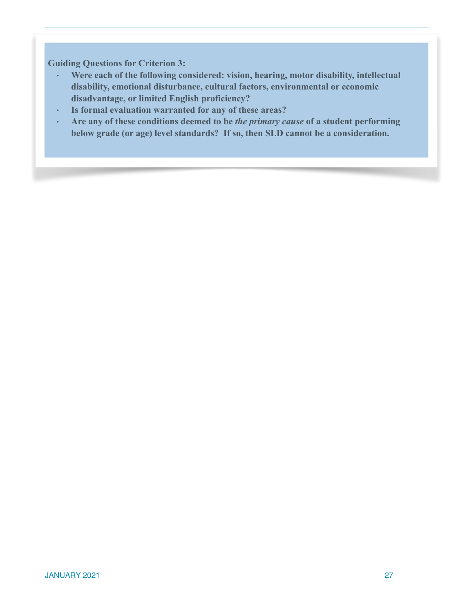**Guiding Questions for Criterion 3:** 

- **Were each of the following considered: vision, hearing, motor disability, intellectual disability, emotional disturbance, cultural factors, environmental or economic disadvantage, or limited English proficiency?**
- **Is formal evaluation warranted for any of these areas?**
- **Are any of these conditions deemed to be** *the primary cause* **of a student performing below grade (or age) level standards? If so, then SLD cannot be a consideration.**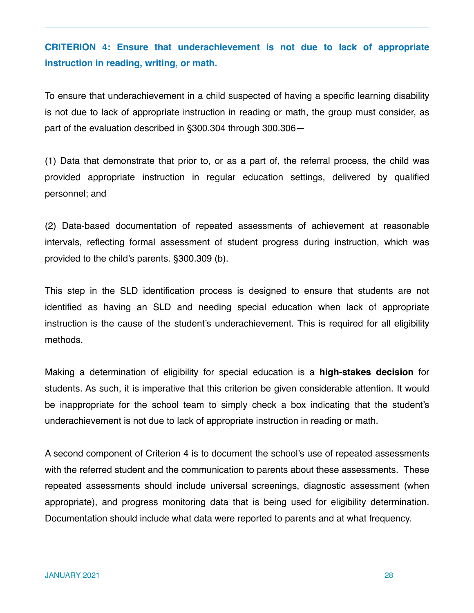**CRITERION 4: Ensure that underachievement is not due to lack of appropriate instruction in reading, writing, or math.**

To ensure that underachievement in a child suspected of having a specific learning disability is not due to lack of appropriate instruction in reading or math, the group must consider, as part of the evaluation described in §300.304 through 300.306—

(1) Data that demonstrate that prior to, or as a part of, the referral process, the child was provided appropriate instruction in regular education settings, delivered by qualified personnel; and

(2) Data-based documentation of repeated assessments of achievement at reasonable intervals, reflecting formal assessment of student progress during instruction, which was provided to the child's parents. §300.309 (b).

This step in the SLD identification process is designed to ensure that students are not identified as having an SLD and needing special education when lack of appropriate instruction is the cause of the student's underachievement. This is required for all eligibility methods.

Making a determination of eligibility for special education is a **high-stakes decision** for students. As such, it is imperative that this criterion be given considerable attention. It would be inappropriate for the school team to simply check a box indicating that the student's underachievement is not due to lack of appropriate instruction in reading or math.

A second component of Criterion 4 is to document the school's use of repeated assessments with the referred student and the communication to parents about these assessments. These repeated assessments should include universal screenings, diagnostic assessment (when appropriate), and progress monitoring data that is being used for eligibility determination. Documentation should include what data were reported to parents and at what frequency.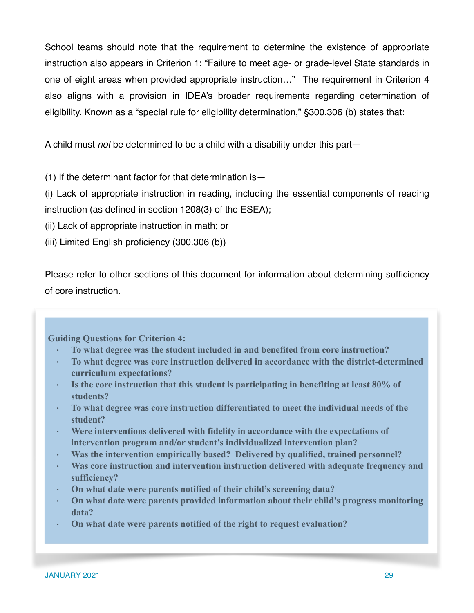School teams should note that the requirement to determine the existence of appropriate instruction also appears in Criterion 1: "Failure to meet age- or grade-level State standards in one of eight areas when provided appropriate instruction…" The requirement in Criterion 4 also aligns with a provision in IDEA's broader requirements regarding determination of eligibility. Known as a "special rule for eligibility determination," §300.306 (b) states that:

A child must *not* be determined to be a child with a disability under this part—

(1) If the determinant factor for that determination is—

(i) Lack of appropriate instruction in reading, including the essential components of reading instruction (as defined in section 1208(3) of the ESEA);

(ii) Lack of appropriate instruction in math; or

(iii) Limited English proficiency (300.306 (b))

Please refer to other sections of this document for information about determining sufficiency of core instruction.

**Guiding Questions for Criterion 4:** 

- **To what degree was the student included in and benefited from core instruction?**
- **To what degree was core instruction delivered in accordance with the district-determined curriculum expectations?**
- **Is the core instruction that this student is participating in benefiting at least 80% of students?**
- **To what degree was core instruction differentiated to meet the individual needs of the student?**
- **Were interventions delivered with fidelity in accordance with the expectations of intervention program and/or student's individualized intervention plan?**
- **Was the intervention empirically based? Delivered by qualified, trained personnel?**
- **Was core instruction and intervention instruction delivered with adequate frequency and sufficiency?**
- **On what date were parents notified of their child's screening data?**
- **On what date were parents provided information about their child's progress monitoring data?**
- **On what date were parents notified of the right to request evaluation?**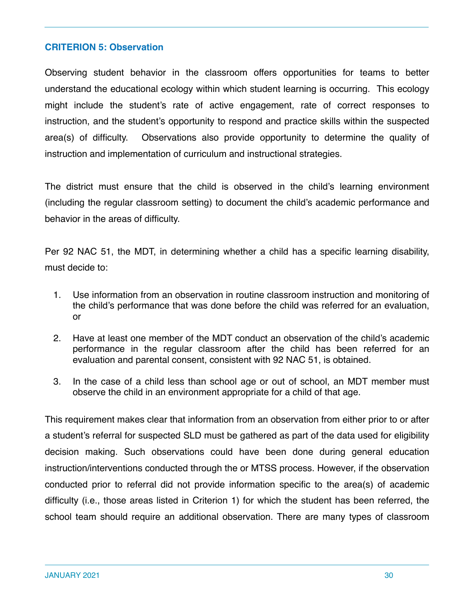#### **CRITERION 5: Observation**

Observing student behavior in the classroom offers opportunities for teams to better understand the educational ecology within which student learning is occurring. This ecology might include the student's rate of active engagement, rate of correct responses to instruction, and the student's opportunity to respond and practice skills within the suspected area(s) of difficulty. Observations also provide opportunity to determine the quality of instruction and implementation of curriculum and instructional strategies.

The district must ensure that the child is observed in the child's learning environment (including the regular classroom setting) to document the child's academic performance and behavior in the areas of difficulty.

Per 92 NAC 51, the MDT, in determining whether a child has a specific learning disability, must decide to:

- 1. Use information from an observation in routine classroom instruction and monitoring of the child's performance that was done before the child was referred for an evaluation, or
- 2. Have at least one member of the MDT conduct an observation of the child's academic performance in the regular classroom after the child has been referred for an evaluation and parental consent, consistent with 92 NAC 51, is obtained.
- 3. In the case of a child less than school age or out of school, an MDT member must observe the child in an environment appropriate for a child of that age.

This requirement makes clear that information from an observation from either prior to or after a student's referral for suspected SLD must be gathered as part of the data used for eligibility decision making. Such observations could have been done during general education instruction/interventions conducted through the or MTSS process. However, if the observation conducted prior to referral did not provide information specific to the area(s) of academic difficulty (i.e., those areas listed in Criterion 1) for which the student has been referred, the school team should require an additional observation. There are many types of classroom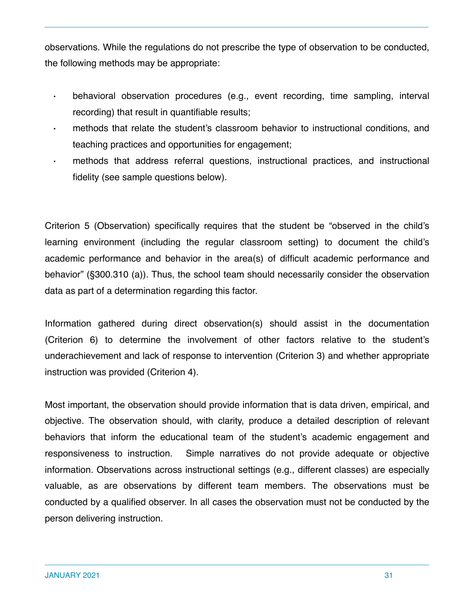observations. While the regulations do not prescribe the type of observation to be conducted, the following methods may be appropriate:

- behavioral observation procedures (e.g., event recording, time sampling, interval recording) that result in quantifiable results;
- methods that relate the student's classroom behavior to instructional conditions, and teaching practices and opportunities for engagement;
- methods that address referral questions, instructional practices, and instructional fidelity (see sample questions below).

Criterion 5 (Observation) specifically requires that the student be "observed in the child's learning environment (including the regular classroom setting) to document the child's academic performance and behavior in the area(s) of difficult academic performance and behavior" (§300.310 (a)). Thus, the school team should necessarily consider the observation data as part of a determination regarding this factor.

Information gathered during direct observation(s) should assist in the documentation (Criterion 6) to determine the involvement of other factors relative to the student's underachievement and lack of response to intervention (Criterion 3) and whether appropriate instruction was provided (Criterion 4).

Most important, the observation should provide information that is data driven, empirical, and objective. The observation should, with clarity, produce a detailed description of relevant behaviors that inform the educational team of the student's academic engagement and responsiveness to instruction. Simple narratives do not provide adequate or objective information. Observations across instructional settings (e.g., different classes) are especially valuable, as are observations by different team members. The observations must be conducted by a qualified observer. In all cases the observation must not be conducted by the person delivering instruction.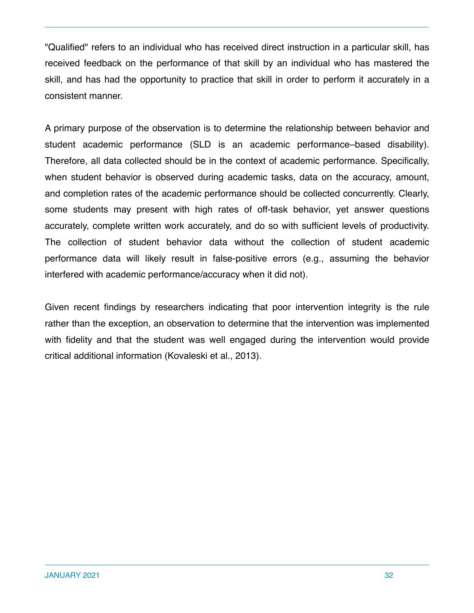"Qualified" refers to an individual who has received direct instruction in a particular skill, has received feedback on the performance of that skill by an individual who has mastered the skill, and has had the opportunity to practice that skill in order to perform it accurately in a consistent manner.

A primary purpose of the observation is to determine the relationship between behavior and student academic performance (SLD is an academic performance–based disability). Therefore, all data collected should be in the context of academic performance. Specifically, when student behavior is observed during academic tasks, data on the accuracy, amount, and completion rates of the academic performance should be collected concurrently. Clearly, some students may present with high rates of off-task behavior, yet answer questions accurately, complete written work accurately, and do so with sufficient levels of productivity. The collection of student behavior data without the collection of student academic performance data will likely result in false-positive errors (e.g., assuming the behavior interfered with academic performance/accuracy when it did not).

Given recent findings by researchers indicating that poor intervention integrity is the rule rather than the exception, an observation to determine that the intervention was implemented with fidelity and that the student was well engaged during the intervention would provide critical additional information (Kovaleski et al., 2013).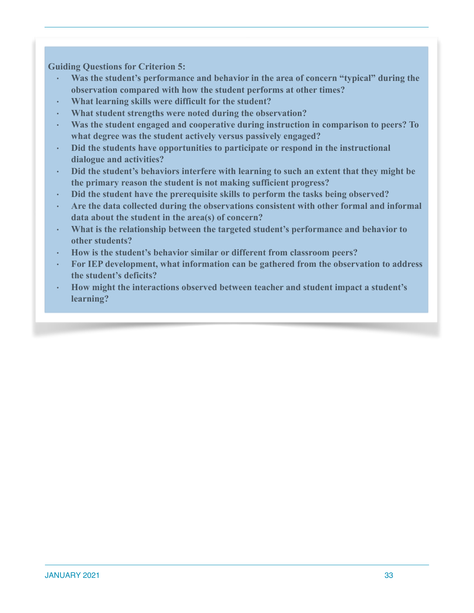**Guiding Questions for Criterion 5:** 

- **Was the student's performance and behavior in the area of concern "typical" during the observation compared with how the student performs at other times?**
- **What learning skills were difficult for the student?**
- **What student strengths were noted during the observation?**
- **Was the student engaged and cooperative during instruction in comparison to peers? To what degree was the student actively versus passively engaged?**
- **Did the students have opportunities to participate or respond in the instructional dialogue and activities?**
- **Did the student's behaviors interfere with learning to such an extent that they might be the primary reason the student is not making sufficient progress?**
- **Did the student have the prerequisite skills to perform the tasks being observed?**
- **Are the data collected during the observations consistent with other formal and informal data about the student in the area(s) of concern?**
- **What is the relationship between the targeted student's performance and behavior to other students?**
- **How is the student's behavior similar or different from classroom peers?**
- **For IEP development, what information can be gathered from the observation to address the student's deficits?**
- **How might the interactions observed between teacher and student impact a student's learning?**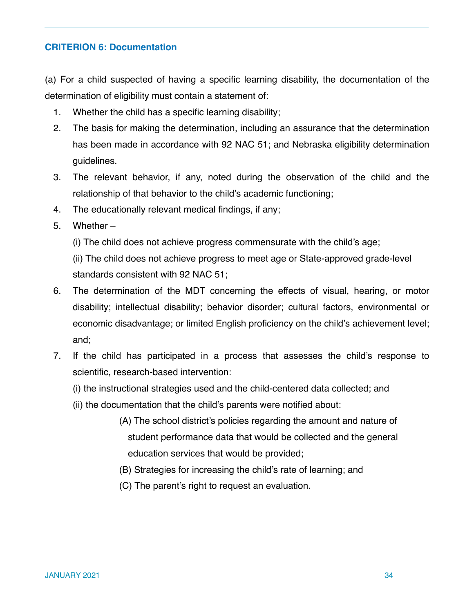#### **CRITERION 6: Documentation**

(a) For a child suspected of having a specific learning disability, the documentation of the determination of eligibility must contain a statement of:

- 1. Whether the child has a specific learning disability;
- 2. The basis for making the determination, including an assurance that the determination has been made in accordance with 92 NAC 51; and Nebraska eligibility determination guidelines.
- 3. The relevant behavior, if any, noted during the observation of the child and the relationship of that behavior to the child's academic functioning;
- 4. The educationally relevant medical findings, if any;
- 5. Whether
	- (i) The child does not achieve progress commensurate with the child's age;

(ii) The child does not achieve progress to meet age or State-approved grade-level standards consistent with 92 NAC 51;

- 6. The determination of the MDT concerning the effects of visual, hearing, or motor disability; intellectual disability; behavior disorder; cultural factors, environmental or economic disadvantage; or limited English proficiency on the child's achievement level; and;
- 7. If the child has participated in a process that assesses the child's response to scientific, research-based intervention:
	- (i) the instructional strategies used and the child-centered data collected; and
	- (ii) the documentation that the child's parents were notified about:
		- (A) The school district's policies regarding the amount and nature of student performance data that would be collected and the general education services that would be provided;
		- (B) Strategies for increasing the child's rate of learning; and
		- (C) The parent's right to request an evaluation.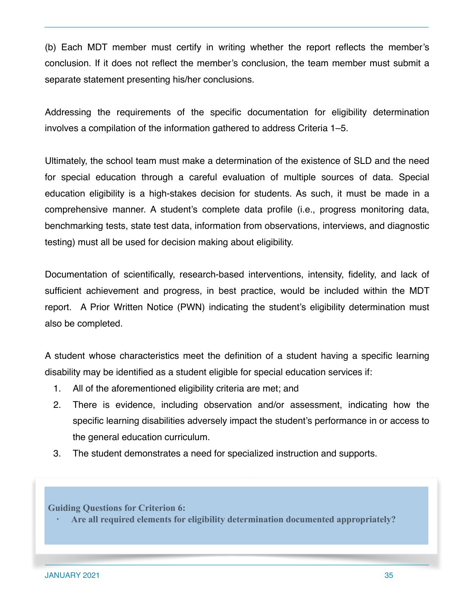(b) Each MDT member must certify in writing whether the report reflects the member's conclusion. If it does not reflect the member's conclusion, the team member must submit a separate statement presenting his/her conclusions.

Addressing the requirements of the specific documentation for eligibility determination involves a compilation of the information gathered to address Criteria 1–5.

Ultimately, the school team must make a determination of the existence of SLD and the need for special education through a careful evaluation of multiple sources of data. Special education eligibility is a high-stakes decision for students. As such, it must be made in a comprehensive manner. A student's complete data profile (i.e., progress monitoring data, benchmarking tests, state test data, information from observations, interviews, and diagnostic testing) must all be used for decision making about eligibility.

Documentation of scientifically, research-based interventions, intensity, fidelity, and lack of sufficient achievement and progress, in best practice, would be included within the MDT report. A Prior Written Notice (PWN) indicating the student's eligibility determination must also be completed.

A student whose characteristics meet the definition of a student having a specific learning disability may be identified as a student eligible for special education services if:

- 1. All of the aforementioned eligibility criteria are met; and
- 2. There is evidence, including observation and/or assessment, indicating how the specific learning disabilities adversely impact the student's performance in or access to the general education curriculum.
- 3. The student demonstrates a need for specialized instruction and supports.

**Guiding Questions for Criterion 6:** 

• **Are all required elements for eligibility determination documented appropriately?**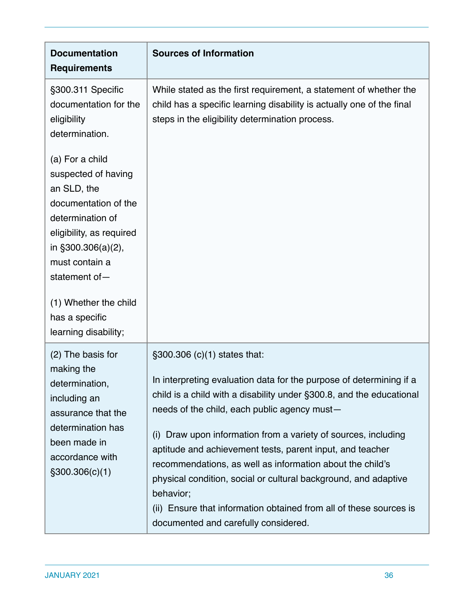| <b>Documentation</b><br><b>Requirements</b>                                                                                                                                              | <b>Sources of Information</b>                                                                                                                                                                                                                                                                                                                                                                                                                                                                                                                                                                                         |
|------------------------------------------------------------------------------------------------------------------------------------------------------------------------------------------|-----------------------------------------------------------------------------------------------------------------------------------------------------------------------------------------------------------------------------------------------------------------------------------------------------------------------------------------------------------------------------------------------------------------------------------------------------------------------------------------------------------------------------------------------------------------------------------------------------------------------|
| §300.311 Specific<br>documentation for the<br>eligibility<br>determination.                                                                                                              | While stated as the first requirement, a statement of whether the<br>child has a specific learning disability is actually one of the final<br>steps in the eligibility determination process.                                                                                                                                                                                                                                                                                                                                                                                                                         |
| (a) For a child<br>suspected of having<br>an SLD, the<br>documentation of the<br>determination of<br>eligibility, as required<br>in $$300.306(a)(2),$<br>must contain a<br>statement of- |                                                                                                                                                                                                                                                                                                                                                                                                                                                                                                                                                                                                                       |
| (1) Whether the child<br>has a specific<br>learning disability;                                                                                                                          |                                                                                                                                                                                                                                                                                                                                                                                                                                                                                                                                                                                                                       |
| (2) The basis for<br>making the<br>determination,<br>including an<br>assurance that the<br>determination has<br>been made in<br>accordance with<br>$\S300.306(c)(1)$                     | §300.306 (c)(1) states that:<br>In interpreting evaluation data for the purpose of determining if a<br>child is a child with a disability under §300.8, and the educational<br>needs of the child, each public agency must-<br>(i) Draw upon information from a variety of sources, including<br>aptitude and achievement tests, parent input, and teacher<br>recommendations, as well as information about the child's<br>physical condition, social or cultural background, and adaptive<br>behavior;<br>(ii) Ensure that information obtained from all of these sources is<br>documented and carefully considered. |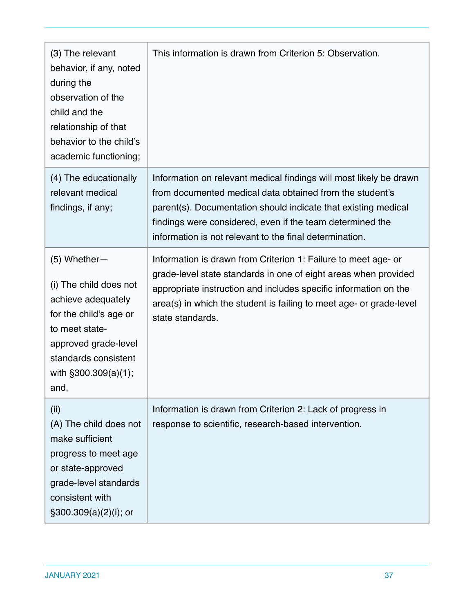| (3) The relevant<br>behavior, if any, noted<br>during the<br>observation of the<br>child and the<br>relationship of that<br>behavior to the child's<br>academic functioning;                   | This information is drawn from Criterion 5: Observation.                                                                                                                                                                                                                                                                 |
|------------------------------------------------------------------------------------------------------------------------------------------------------------------------------------------------|--------------------------------------------------------------------------------------------------------------------------------------------------------------------------------------------------------------------------------------------------------------------------------------------------------------------------|
| (4) The educationally<br>relevant medical<br>findings, if any;                                                                                                                                 | Information on relevant medical findings will most likely be drawn<br>from documented medical data obtained from the student's<br>parent(s). Documentation should indicate that existing medical<br>findings were considered, even if the team determined the<br>information is not relevant to the final determination. |
| $(5)$ Whether-<br>(i) The child does not<br>achieve adequately<br>for the child's age or<br>to meet state-<br>approved grade-level<br>standards consistent<br>with $\S 300.309(a)(1);$<br>and, | Information is drawn from Criterion 1: Failure to meet age- or<br>grade-level state standards in one of eight areas when provided<br>appropriate instruction and includes specific information on the<br>area(s) in which the student is failing to meet age- or grade-level<br>state standards.                         |
| (ii)<br>(A) The child does not<br>make sufficient<br>progress to meet age<br>or state-approved<br>grade-level standards<br>consistent with<br>$\S300.309(a)(2)(i)$ ; or                        | Information is drawn from Criterion 2: Lack of progress in<br>response to scientific, research-based intervention.                                                                                                                                                                                                       |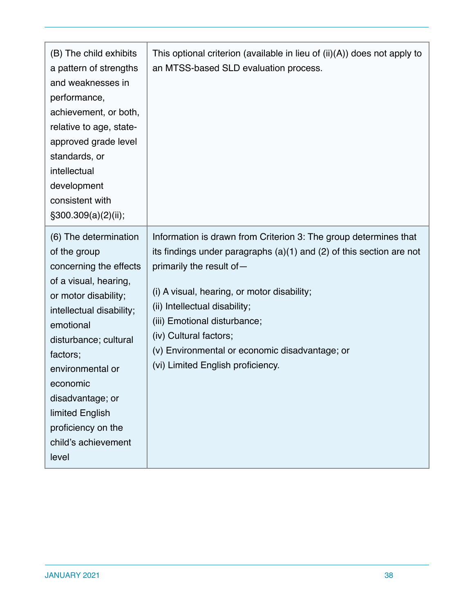| (B) The child exhibits<br>a pattern of strengths<br>and weaknesses in<br>performance,<br>achievement, or both,<br>relative to age, state-<br>approved grade level<br>standards, or<br>intellectual<br>development<br>consistent with<br>$\S300.309(a)(2)(ii);$                                                              | This optional criterion (available in lieu of $(ii)(A)$ ) does not apply to<br>an MTSS-based SLD evaluation process.                                                                                                                                                                                                                                                                                      |
|-----------------------------------------------------------------------------------------------------------------------------------------------------------------------------------------------------------------------------------------------------------------------------------------------------------------------------|-----------------------------------------------------------------------------------------------------------------------------------------------------------------------------------------------------------------------------------------------------------------------------------------------------------------------------------------------------------------------------------------------------------|
| (6) The determination<br>of the group<br>concerning the effects<br>of a visual, hearing,<br>or motor disability;<br>intellectual disability;<br>emotional<br>disturbance; cultural<br>factors;<br>environmental or<br>economic<br>disadvantage; or<br>limited English<br>proficiency on the<br>child's achievement<br>level | Information is drawn from Criterion 3: The group determines that<br>its findings under paragraphs $(a)(1)$ and $(2)$ of this section are not<br>primarily the result of-<br>(i) A visual, hearing, or motor disability;<br>(ii) Intellectual disability;<br>(iii) Emotional disturbance;<br>(iv) Cultural factors;<br>(v) Environmental or economic disadvantage; or<br>(vi) Limited English proficiency. |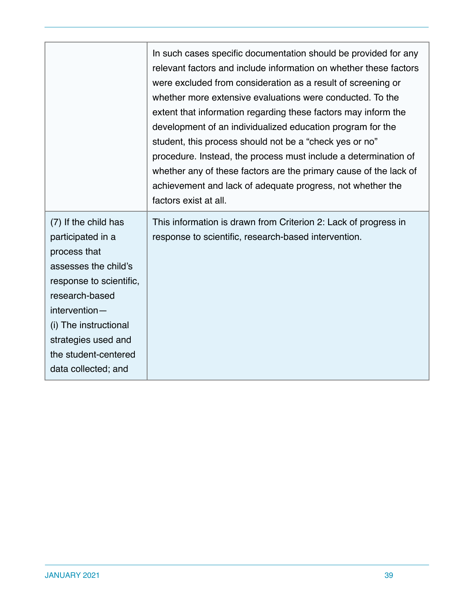|                                                                                                                                                                                                                                                | In such cases specific documentation should be provided for any<br>relevant factors and include information on whether these factors<br>were excluded from consideration as a result of screening or<br>whether more extensive evaluations were conducted. To the<br>extent that information regarding these factors may inform the<br>development of an individualized education program for the<br>student, this process should not be a "check yes or no"<br>procedure. Instead, the process must include a determination of<br>whether any of these factors are the primary cause of the lack of<br>achievement and lack of adequate progress, not whether the<br>factors exist at all. |
|------------------------------------------------------------------------------------------------------------------------------------------------------------------------------------------------------------------------------------------------|---------------------------------------------------------------------------------------------------------------------------------------------------------------------------------------------------------------------------------------------------------------------------------------------------------------------------------------------------------------------------------------------------------------------------------------------------------------------------------------------------------------------------------------------------------------------------------------------------------------------------------------------------------------------------------------------|
| (7) If the child has<br>participated in a<br>process that<br>assesses the child's<br>response to scientific,<br>research-based<br>intervention-<br>(i) The instructional<br>strategies used and<br>the student-centered<br>data collected; and | This information is drawn from Criterion 2: Lack of progress in<br>response to scientific, research-based intervention.                                                                                                                                                                                                                                                                                                                                                                                                                                                                                                                                                                     |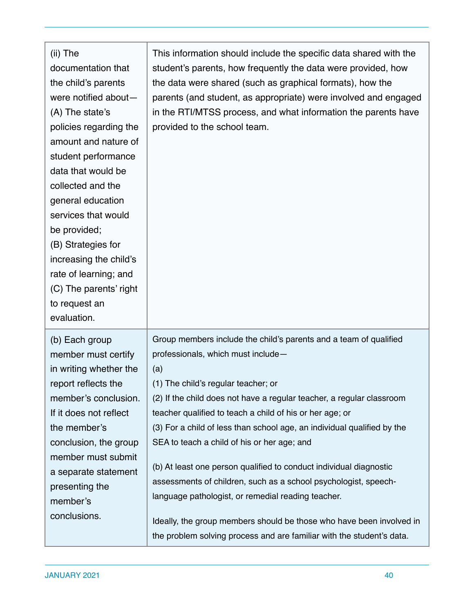| $(ii)$ The<br>documentation that<br>the child's parents<br>were notified about-<br>(A) The state's<br>policies regarding the<br>amount and nature of<br>student performance<br>data that would be<br>collected and the<br>general education<br>services that would<br>be provided;<br>(B) Strategies for<br>increasing the child's<br>rate of learning; and<br>(C) The parents' right | This information should include the specific data shared with the<br>student's parents, how frequently the data were provided, how<br>the data were shared (such as graphical formats), how the<br>parents (and student, as appropriate) were involved and engaged<br>in the RTI/MTSS process, and what information the parents have<br>provided to the school team.                                                                                                                                                                                                                                                                                                                        |
|---------------------------------------------------------------------------------------------------------------------------------------------------------------------------------------------------------------------------------------------------------------------------------------------------------------------------------------------------------------------------------------|---------------------------------------------------------------------------------------------------------------------------------------------------------------------------------------------------------------------------------------------------------------------------------------------------------------------------------------------------------------------------------------------------------------------------------------------------------------------------------------------------------------------------------------------------------------------------------------------------------------------------------------------------------------------------------------------|
| to request an<br>evaluation.                                                                                                                                                                                                                                                                                                                                                          |                                                                                                                                                                                                                                                                                                                                                                                                                                                                                                                                                                                                                                                                                             |
| (b) Each group<br>member must certify<br>in writing whether the<br>report reflects the<br>member's conclusion.<br>If it does not reflect<br>the member's<br>conclusion, the group<br>member must submit<br>a separate statement<br>presenting the<br>member's<br>conclusions.                                                                                                         | Group members include the child's parents and a team of qualified<br>professionals, which must include-<br>(a)<br>(1) The child's regular teacher; or<br>(2) If the child does not have a regular teacher, a regular classroom<br>teacher qualified to teach a child of his or her age; or<br>(3) For a child of less than school age, an individual qualified by the<br>SEA to teach a child of his or her age; and<br>(b) At least one person qualified to conduct individual diagnostic<br>assessments of children, such as a school psychologist, speech-<br>language pathologist, or remedial reading teacher.<br>Ideally, the group members should be those who have been involved in |
|                                                                                                                                                                                                                                                                                                                                                                                       | the problem solving process and are familiar with the student's data.                                                                                                                                                                                                                                                                                                                                                                                                                                                                                                                                                                                                                       |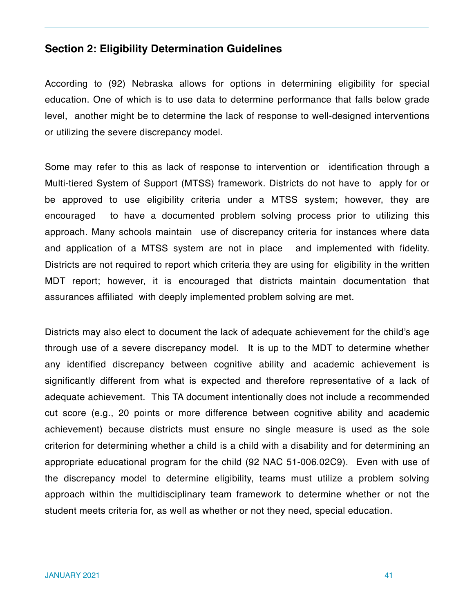#### **Section 2: Eligibility Determination Guidelines**

According to (92) Nebraska allows for options in determining eligibility for special education. One of which is to use data to determine performance that falls below grade level, another might be to determine the lack of response to well-designed interventions or utilizing the severe discrepancy model.

Some may refer to this as lack of response to intervention or identification through a Multi-tiered System of Support (MTSS) framework. Districts do not have to apply for or be approved to use eligibility criteria under a MTSS system; however, they are encouraged to have a documented problem solving process prior to utilizing this approach. Many schools maintain use of discrepancy criteria for instances where data and application of a MTSS system are not in place and implemented with fidelity. Districts are not required to report which criteria they are using for eligibility in the written MDT report; however, it is encouraged that districts maintain documentation that assurances affiliated with deeply implemented problem solving are met.

Districts may also elect to document the lack of adequate achievement for the child's age through use of a severe discrepancy model. It is up to the MDT to determine whether any identified discrepancy between cognitive ability and academic achievement is significantly different from what is expected and therefore representative of a lack of adequate achievement. This TA document intentionally does not include a recommended cut score (e.g., 20 points or more difference between cognitive ability and academic achievement) because districts must ensure no single measure is used as the sole criterion for determining whether a child is a child with a disability and for determining an appropriate educational program for the child (92 NAC 51-006.02C9). Even with use of the discrepancy model to determine eligibility, teams must utilize a problem solving approach within the multidisciplinary team framework to determine whether or not the student meets criteria for, as well as whether or not they need, special education.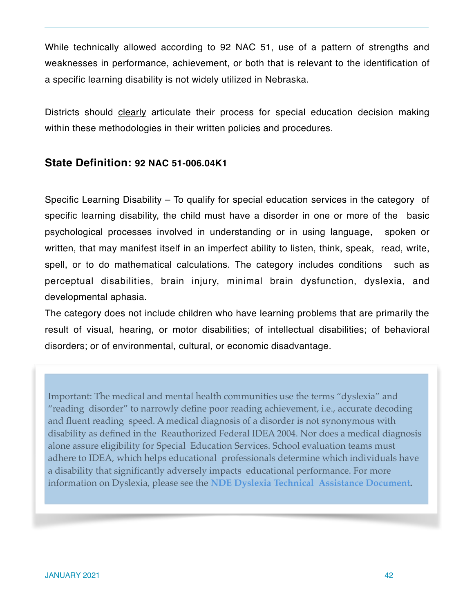While technically allowed according to 92 NAC 51, use of a pattern of strengths and weaknesses in performance, achievement, or both that is relevant to the identification of a specific learning disability is not widely utilized in Nebraska.

Districts should clearly articulate their process for special education decision making within these methodologies in their written policies and procedures.

## **State Definition: 92 NAC 51-006.04K1**

Specific Learning Disability – To qualify for special education services in the category of specific learning disability, the child must have a disorder in one or more of the basic psychological processes involved in understanding or in using language, spoken or written, that may manifest itself in an imperfect ability to listen, think, speak, read, write, spell, or to do mathematical calculations. The category includes conditions such as perceptual disabilities, brain injury, minimal brain dysfunction, dyslexia, and developmental aphasia.

The category does not include children who have learning problems that are primarily the result of visual, hearing, or motor disabilities; of intellectual disabilities; of behavioral disorders; or of environmental, cultural, or economic disadvantage.

Important: The medical and mental health communities use the terms "dyslexia" and "reading disorder" to narrowly define poor reading achievement, i.e., accurate decoding and fluent reading speed. A medical diagnosis of a disorder is not synonymous with disability as defined in the Reauthorized Federal IDEA 2004. Nor does a medical diagnosis alone assure eligibility for Special Education Services. School evaluation teams must adhere to IDEA, which helps educational professionals determine which individuals have a disability that significantly adversely impacts educational performance. For more information on Dyslexia, please see the **NDE Dyslexia Technical Assistance Document.**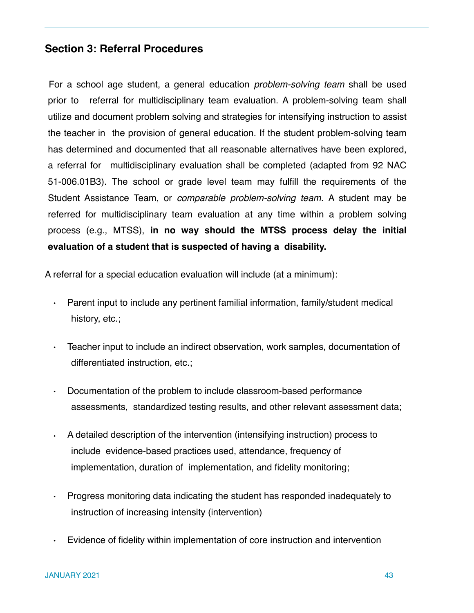#### **Section 3: Referral Procedures**

For a school age student, a general education *problem-solving team* shall be used prior to referral for multidisciplinary team evaluation. A problem-solving team shall utilize and document problem solving and strategies for intensifying instruction to assist the teacher in the provision of general education. If the student problem-solving team has determined and documented that all reasonable alternatives have been explored, a referral for multidisciplinary evaluation shall be completed (adapted from 92 NAC 51-006.01B3). The school or grade level team may fulfill the requirements of the Student Assistance Team, or *comparable problem-solving team.* A student may be referred for multidisciplinary team evaluation at any time within a problem solving process (e.g., MTSS), **in no way should the MTSS process delay the initial evaluation of a student that is suspected of having a disability.** 

A referral for a special education evaluation will include (at a minimum):

- Parent input to include any pertinent familial information, family/student medical history, etc.;
- Teacher input to include an indirect observation, work samples, documentation of differentiated instruction, etc.;
- Documentation of the problem to include classroom-based performance assessments, standardized testing results, and other relevant assessment data;
- A detailed description of the intervention (intensifying instruction) process to include evidence-based practices used, attendance, frequency of implementation, duration of implementation, and fidelity monitoring;
- Progress monitoring data indicating the student has responded inadequately to instruction of increasing intensity (intervention)
- Evidence of fidelity within implementation of core instruction and intervention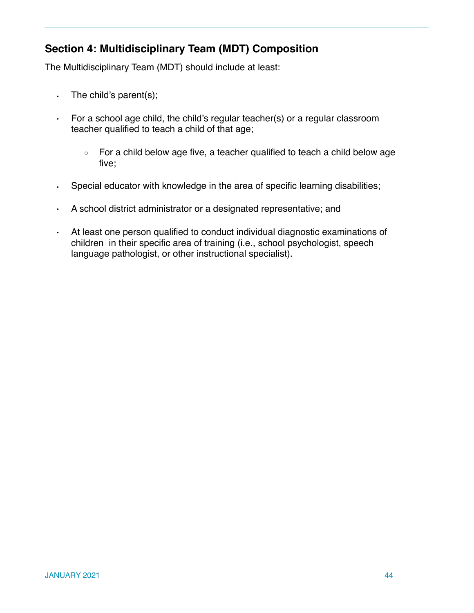# **Section 4: Multidisciplinary Team (MDT) Composition**

The Multidisciplinary Team (MDT) should include at least:

- $\cdot$  The child's parent(s);
- $\cdot$  For a school age child, the child's regular teacher(s) or a regular classroom teacher qualified to teach a child of that age;
	- For a child below age five, a teacher qualified to teach a child below age five;
- Special educator with knowledge in the area of specific learning disabilities;
- A school district administrator or a designated representative; and
- At least one person qualified to conduct individual diagnostic examinations of children in their specific area of training (i.e., school psychologist, speech language pathologist, or other instructional specialist).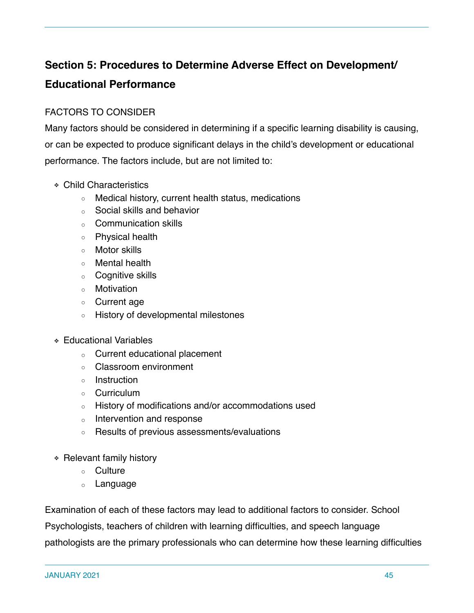# **Section 5: Procedures to Determine Adverse Effect on Development/ Educational Performance**

#### FACTORS TO CONSIDER

Many factors should be considered in determining if a specific learning disability is causing, or can be expected to produce significant delays in the child's development or educational performance. The factors include, but are not limited to:

- ❖ Child Characteristics
	- Medical history, current health status, medications
	- Social skills and behavior
	- Communication skills
	- Physical health
	- Motor skills
	- Mental health
	- Cognitive skills
	- Motivation
	- Current age
	- History of developmental milestones
- ❖ Educational Variables
	- Current educational placement
	- Classroom environment
	- Instruction
	- Curriculum
	- History of modifications and/or accommodations used
	- Intervention and response
	- Results of previous assessments/evaluations
- ❖ Relevant family history
	- Culture
	- Language

Examination of each of these factors may lead to additional factors to consider. School Psychologists, teachers of children with learning difficulties, and speech language

pathologists are the primary professionals who can determine how these learning difficulties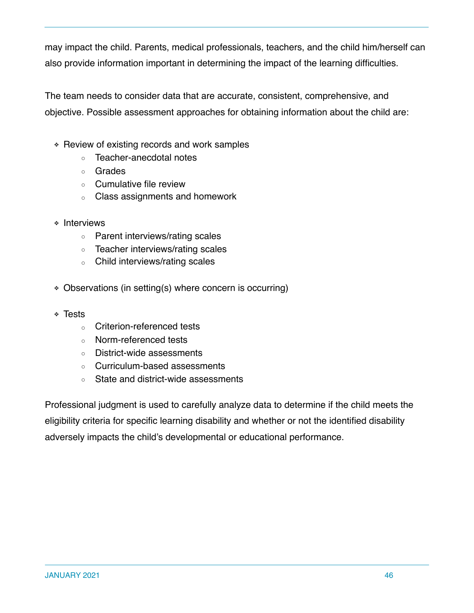may impact the child. Parents, medical professionals, teachers, and the child him/herself can also provide information important in determining the impact of the learning difficulties.

The team needs to consider data that are accurate, consistent, comprehensive, and objective. Possible assessment approaches for obtaining information about the child are:

- ❖ Review of existing records and work samples
	- Teacher-anecdotal notes
	- Grades
	- Cumulative file review
	- Class assignments and homework
- ❖ Interviews
	- Parent interviews/rating scales
	- Teacher interviews/rating scales
	- Child interviews/rating scales
- ❖ Observations (in setting(s) where concern is occurring)
- ❖ Tests
	- Criterion-referenced tests
	- Norm-referenced tests
	- District-wide assessments
	- Curriculum-based assessments
	- State and district-wide assessments

Professional judgment is used to carefully analyze data to determine if the child meets the eligibility criteria for specific learning disability and whether or not the identified disability adversely impacts the child's developmental or educational performance.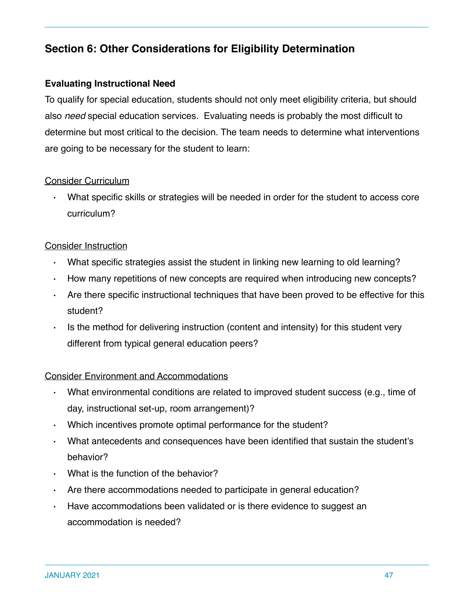## **Section 6: Other Considerations for Eligibility Determination**

#### **Evaluating Instructional Need**

To qualify for special education, students should not only meet eligibility criteria, but should also *need* special education services. Evaluating needs is probably the most difficult to determine but most critical to the decision. The team needs to determine what interventions are going to be necessary for the student to learn:

#### Consider Curriculum

• What specific skills or strategies will be needed in order for the student to access core curriculum?

#### Consider Instruction

- What specific strategies assist the student in linking new learning to old learning?
- How many repetitions of new concepts are required when introducing new concepts?
- Are there specific instructional techniques that have been proved to be effective for this student?
- Is the method for delivering instruction (content and intensity) for this student very different from typical general education peers?

#### Consider Environment and Accommodations

- What environmental conditions are related to improved student success (e.g., time of day, instructional set-up, room arrangement)?
- Which incentives promote optimal performance for the student?
- What antecedents and consequences have been identified that sustain the student's behavior?
- What is the function of the behavior?
- Are there accommodations needed to participate in general education?
- Have accommodations been validated or is there evidence to suggest an accommodation is needed?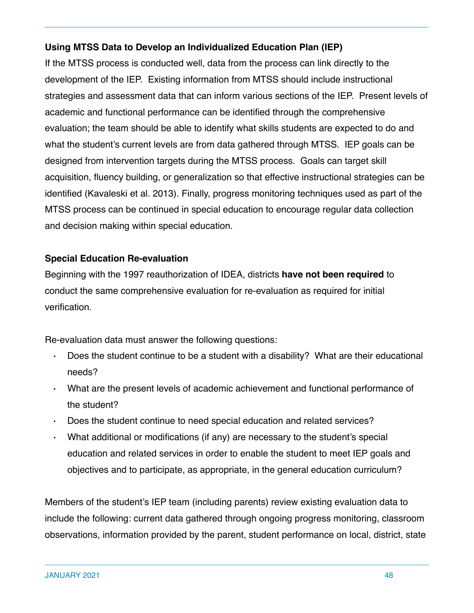#### **Using MTSS Data to Develop an Individualized Education Plan (IEP)**

If the MTSS process is conducted well, data from the process can link directly to the development of the IEP. Existing information from MTSS should include instructional strategies and assessment data that can inform various sections of the IEP. Present levels of academic and functional performance can be identified through the comprehensive evaluation; the team should be able to identify what skills students are expected to do and what the student's current levels are from data gathered through MTSS. IEP goals can be designed from intervention targets during the MTSS process. Goals can target skill acquisition, fluency building, or generalization so that effective instructional strategies can be identified (Kavaleski et al. 2013). Finally, progress monitoring techniques used as part of the MTSS process can be continued in special education to encourage regular data collection and decision making within special education.

#### **Special Education Re-evaluation**

Beginning with the 1997 reauthorization of IDEA, districts **have not been required** to conduct the same comprehensive evaluation for re-evaluation as required for initial verification.

Re-evaluation data must answer the following questions:

- Does the student continue to be a student with a disability? What are their educational needs?
- What are the present levels of academic achievement and functional performance of the student?
- Does the student continue to need special education and related services?
- What additional or modifications (if any) are necessary to the student's special education and related services in order to enable the student to meet IEP goals and objectives and to participate, as appropriate, in the general education curriculum?

Members of the student's IEP team (including parents) review existing evaluation data to include the following: current data gathered through ongoing progress monitoring, classroom observations, information provided by the parent, student performance on local, district, state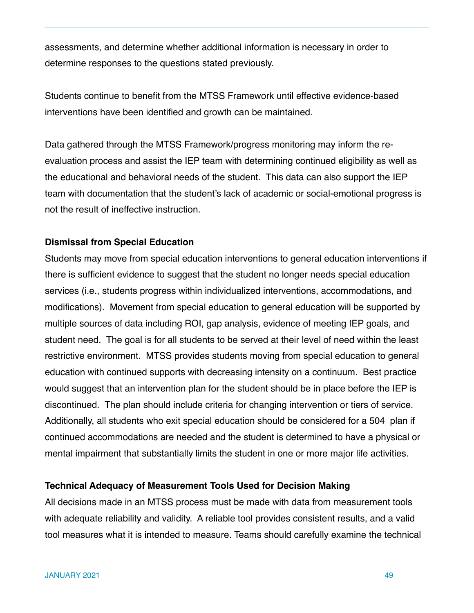assessments, and determine whether additional information is necessary in order to determine responses to the questions stated previously.

Students continue to benefit from the MTSS Framework until effective evidence-based interventions have been identified and growth can be maintained.

Data gathered through the MTSS Framework/progress monitoring may inform the reevaluation process and assist the IEP team with determining continued eligibility as well as the educational and behavioral needs of the student. This data can also support the IEP team with documentation that the student's lack of academic or social-emotional progress is not the result of ineffective instruction.

#### **Dismissal from Special Education**

Students may move from special education interventions to general education interventions if there is sufficient evidence to suggest that the student no longer needs special education services (i.e., students progress within individualized interventions, accommodations, and modifications). Movement from special education to general education will be supported by multiple sources of data including ROI, gap analysis, evidence of meeting IEP goals, and student need. The goal is for all students to be served at their level of need within the least restrictive environment. MTSS provides students moving from special education to general education with continued supports with decreasing intensity on a continuum. Best practice would suggest that an intervention plan for the student should be in place before the IEP is discontinued. The plan should include criteria for changing intervention or tiers of service. Additionally, all students who exit special education should be considered for a 504 plan if continued accommodations are needed and the student is determined to have a physical or mental impairment that substantially limits the student in one or more major life activities.

#### **Technical Adequacy of Measurement Tools Used for Decision Making**

All decisions made in an MTSS process must be made with data from measurement tools with adequate reliability and validity. A reliable tool provides consistent results, and a valid tool measures what it is intended to measure. Teams should carefully examine the technical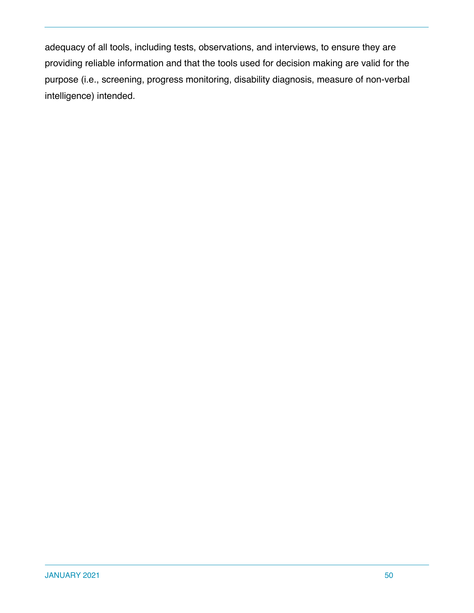adequacy of all tools, including tests, observations, and interviews, to ensure they are providing reliable information and that the tools used for decision making are valid for the purpose (i.e., screening, progress monitoring, disability diagnosis, measure of non-verbal intelligence) intended.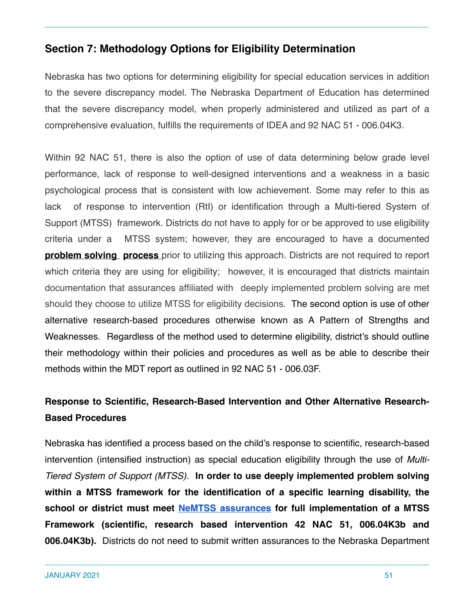#### **Section 7: Methodology Options for Eligibility Determination**

Nebraska has two options for determining eligibility for special education services in addition to the severe discrepancy model. The Nebraska Department of Education has determined that the severe discrepancy model, when properly administered and utilized as part of a comprehensive evaluation, fulfills the requirements of IDEA and 92 NAC 51 - 006.04K3.

Within 92 NAC 51, there is also the option of use of data determining below grade level performance, lack of response to well-designed interventions and a weakness in a basic psychological process that is consistent with low achievement. Some may refer to this as lack of response to intervention (RtI) or identification through a Multi-tiered System of Support (MTSS) framework. Districts do not have to apply for or be approved to use eligibility criteria under a MTSS system; however, they are encouraged to have a documented **problem solving process** prior to utilizing this approach. Districts are not required to report which criteria they are using for eligibility; however, it is encouraged that districts maintain documentation that assurances affiliated with deeply implemented problem solving are met should they choose to utilize MTSS for eligibility decisions. The second option is use of other alternative research-based procedures otherwise known as A Pattern of Strengths and Weaknesses. Regardless of the method used to determine eligibility, district's should outline their methodology within their policies and procedures as well as be able to describe their methods within the MDT report as outlined in 92 NAC 51 - 006.03F.

# **Response to Scientific, Research-Based Intervention and Other Alternative Research-Based Procedures**

Nebraska has identified a process based on the child's response to scientific, research-based intervention (intensified instruction) as special education eligibility through the use of *Multi-Tiered System of Support (MTSS)*. **In order to use deeply implemented problem solving within a MTSS framework for the identification of a specific learning disability, the school or district must meet [NeMTSS assurances](https://docs.google.com/document/d/11RuYUP47_1WAO9_dE2uaxmJOAoqfrmZ1OOOYu_HAF84/edit?usp=sharing) for full implementation of a MTSS Framework (scientific, research based intervention 42 NAC 51, 006.04K3b and 006.04K3b).** Districts do not need to submit written assurances to the Nebraska Department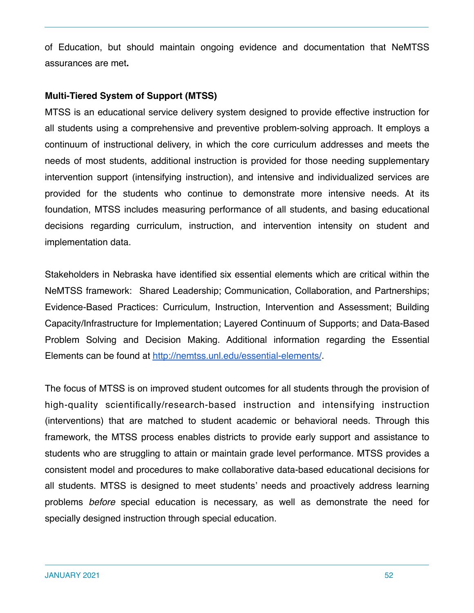of Education, but should maintain ongoing evidence and documentation that NeMTSS assurances are met**.** 

#### **Multi-Tiered System of Support (MTSS)**

MTSS is an educational service delivery system designed to provide effective instruction for all students using a comprehensive and preventive problem-solving approach. It employs a continuum of instructional delivery, in which the core curriculum addresses and meets the needs of most students, additional instruction is provided for those needing supplementary intervention support (intensifying instruction), and intensive and individualized services are provided for the students who continue to demonstrate more intensive needs. At its foundation, MTSS includes measuring performance of all students, and basing educational decisions regarding curriculum, instruction, and intervention intensity on student and implementation data.

Stakeholders in Nebraska have identified six essential elements which are critical within the NeMTSS framework: Shared Leadership; Communication, Collaboration, and Partnerships; Evidence-Based Practices: Curriculum, Instruction, Intervention and Assessment; Building Capacity/Infrastructure for Implementation; Layered Continuum of Supports; and Data-Based Problem Solving and Decision Making. Additional information regarding the Essential Elements can be found at<http://nemtss.unl.edu/essential-elements/>.

The focus of MTSS is on improved student outcomes for all students through the provision of high-quality scientifically/research-based instruction and intensifying instruction (interventions) that are matched to student academic or behavioral needs. Through this framework, the MTSS process enables districts to provide early support and assistance to students who are struggling to attain or maintain grade level performance. MTSS provides a consistent model and procedures to make collaborative data-based educational decisions for all students. MTSS is designed to meet students' needs and proactively address learning problems *before* special education is necessary, as well as demonstrate the need for specially designed instruction through special education.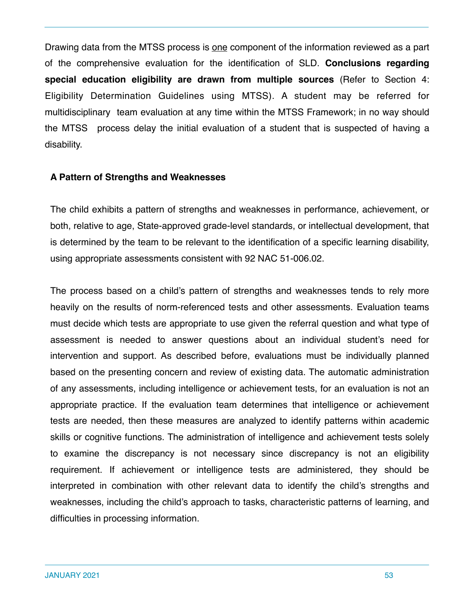Drawing data from the MTSS process is one component of the information reviewed as a part of the comprehensive evaluation for the identification of SLD. **Conclusions regarding special education eligibility are drawn from multiple sources** (Refer to Section 4: Eligibility Determination Guidelines using MTSS). A student may be referred for multidisciplinary team evaluation at any time within the MTSS Framework; in no way should the MTSS process delay the initial evaluation of a student that is suspected of having a disability.

#### **A Pattern of Strengths and Weaknesses**

The child exhibits a pattern of strengths and weaknesses in performance, achievement, or both, relative to age, State-approved grade-level standards, or intellectual development, that is determined by the team to be relevant to the identification of a specific learning disability, using appropriate assessments consistent with 92 NAC 51-006.02.

The process based on a child's pattern of strengths and weaknesses tends to rely more heavily on the results of norm-referenced tests and other assessments. Evaluation teams must decide which tests are appropriate to use given the referral question and what type of assessment is needed to answer questions about an individual student's need for intervention and support. As described before, evaluations must be individually planned based on the presenting concern and review of existing data. The automatic administration of any assessments, including intelligence or achievement tests, for an evaluation is not an appropriate practice. If the evaluation team determines that intelligence or achievement tests are needed, then these measures are analyzed to identify patterns within academic skills or cognitive functions. The administration of intelligence and achievement tests solely to examine the discrepancy is not necessary since discrepancy is not an eligibility requirement. If achievement or intelligence tests are administered, they should be interpreted in combination with other relevant data to identify the child's strengths and weaknesses, including the child's approach to tasks, characteristic patterns of learning, and difficulties in processing information.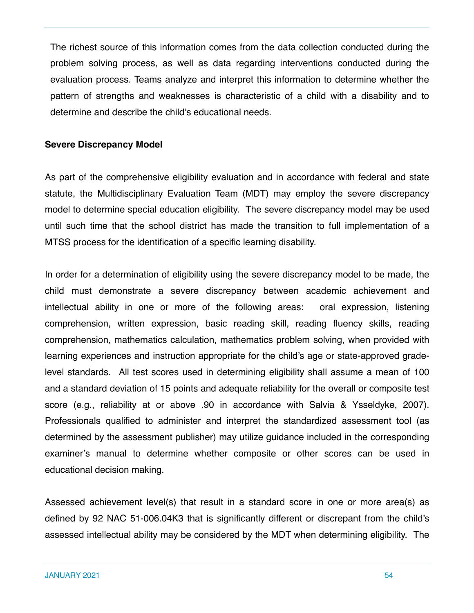The richest source of this information comes from the data collection conducted during the problem solving process, as well as data regarding interventions conducted during the evaluation process. Teams analyze and interpret this information to determine whether the pattern of strengths and weaknesses is characteristic of a child with a disability and to determine and describe the child's educational needs.

#### **Severe Discrepancy Model**

As part of the comprehensive eligibility evaluation and in accordance with federal and state statute, the Multidisciplinary Evaluation Team (MDT) may employ the severe discrepancy model to determine special education eligibility. The severe discrepancy model may be used until such time that the school district has made the transition to full implementation of a MTSS process for the identification of a specific learning disability.

In order for a determination of eligibility using the severe discrepancy model to be made, the child must demonstrate a severe discrepancy between academic achievement and intellectual ability in one or more of the following areas: oral expression, listening comprehension, written expression, basic reading skill, reading fluency skills, reading comprehension, mathematics calculation, mathematics problem solving, when provided with learning experiences and instruction appropriate for the child's age or state-approved gradelevel standards. All test scores used in determining eligibility shall assume a mean of 100 and a standard deviation of 15 points and adequate reliability for the overall or composite test score (e.g., reliability at or above .90 in accordance with Salvia & Ysseldyke, 2007). Professionals qualified to administer and interpret the standardized assessment tool (as determined by the assessment publisher) may utilize guidance included in the corresponding examiner's manual to determine whether composite or other scores can be used in educational decision making.

Assessed achievement level(s) that result in a standard score in one or more area(s) as defined by 92 NAC 51-006.04K3 that is significantly different or discrepant from the child's assessed intellectual ability may be considered by the MDT when determining eligibility. The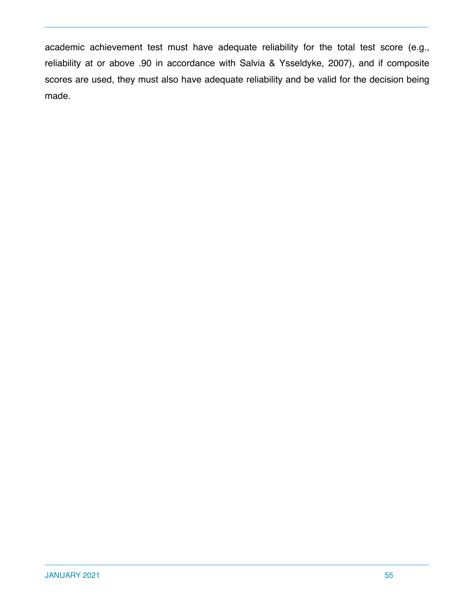academic achievement test must have adequate reliability for the total test score (e.g., reliability at or above .90 in accordance with Salvia & Ysseldyke, 2007), and if composite scores are used, they must also have adequate reliability and be valid for the decision being made.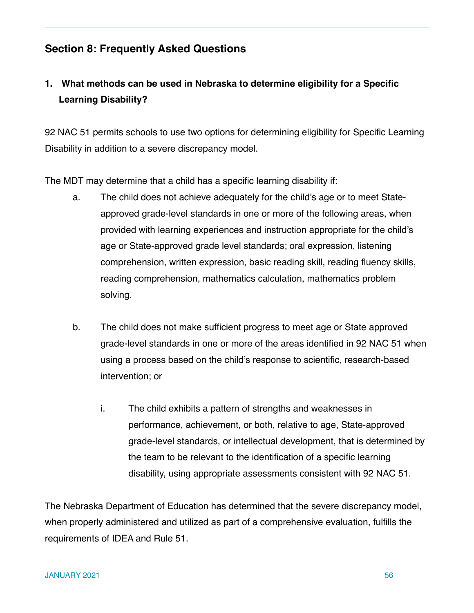## **Section 8: Frequently Asked Questions**

# **1. What methods can be used in Nebraska to determine eligibility for a Specific Learning Disability?**

92 NAC 51 permits schools to use two options for determining eligibility for Specific Learning Disability in addition to a severe discrepancy model.

The MDT may determine that a child has a specific learning disability if:

- a. The child does not achieve adequately for the child's age or to meet Stateapproved grade-level standards in one or more of the following areas, when provided with learning experiences and instruction appropriate for the child's age or State-approved grade level standards; oral expression, listening comprehension, written expression, basic reading skill, reading fluency skills, reading comprehension, mathematics calculation, mathematics problem solving.
- b. The child does not make sufficient progress to meet age or State approved grade-level standards in one or more of the areas identified in 92 NAC 51 when using a process based on the child's response to scientific, research-based intervention; or
	- i. The child exhibits a pattern of strengths and weaknesses in performance, achievement, or both, relative to age, State-approved grade-level standards, or intellectual development, that is determined by the team to be relevant to the identification of a specific learning disability, using appropriate assessments consistent with 92 NAC 51.

The Nebraska Department of Education has determined that the severe discrepancy model, when properly administered and utilized as part of a comprehensive evaluation, fulfills the requirements of IDEA and Rule 51.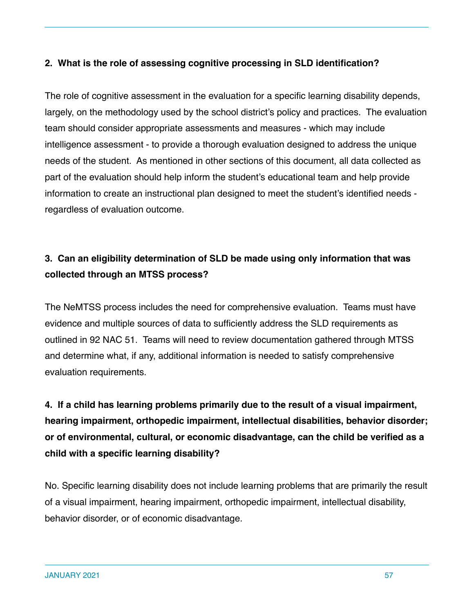#### **2. What is the role of assessing cognitive processing in SLD identification?**

The role of cognitive assessment in the evaluation for a specific learning disability depends, largely, on the methodology used by the school district's policy and practices. The evaluation team should consider appropriate assessments and measures - which may include intelligence assessment - to provide a thorough evaluation designed to address the unique needs of the student. As mentioned in other sections of this document, all data collected as part of the evaluation should help inform the student's educational team and help provide information to create an instructional plan designed to meet the student's identified needs regardless of evaluation outcome.

# **3. Can an eligibility determination of SLD be made using only information that was collected through an MTSS process?**

The NeMTSS process includes the need for comprehensive evaluation. Teams must have evidence and multiple sources of data to sufficiently address the SLD requirements as outlined in 92 NAC 51. Teams will need to review documentation gathered through MTSS and determine what, if any, additional information is needed to satisfy comprehensive evaluation requirements.

# **4. If a child has learning problems primarily due to the result of a visual impairment, hearing impairment, orthopedic impairment, intellectual disabilities, behavior disorder; or of environmental, cultural, or economic disadvantage, can the child be verified as a child with a specific learning disability?**

No. Specific learning disability does not include learning problems that are primarily the result of a visual impairment, hearing impairment, orthopedic impairment, intellectual disability, behavior disorder, or of economic disadvantage.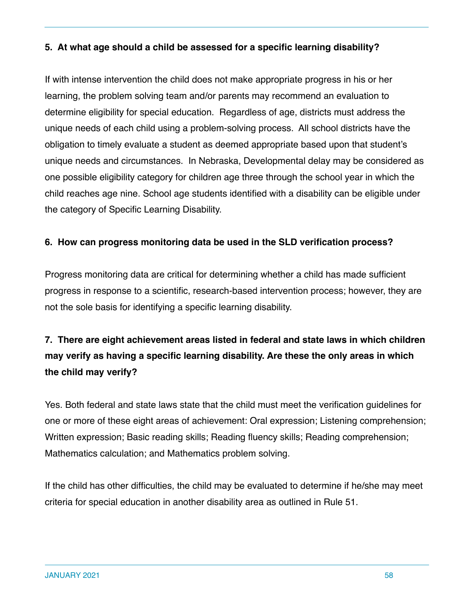#### **5. At what age should a child be assessed for a specific learning disability?**

If with intense intervention the child does not make appropriate progress in his or her learning, the problem solving team and/or parents may recommend an evaluation to determine eligibility for special education. Regardless of age, districts must address the unique needs of each child using a problem-solving process. All school districts have the obligation to timely evaluate a student as deemed appropriate based upon that student's unique needs and circumstances. In Nebraska, Developmental delay may be considered as one possible eligibility category for children age three through the school year in which the child reaches age nine. School age students identified with a disability can be eligible under the category of Specific Learning Disability.

#### **6. How can progress monitoring data be used in the SLD verification process?**

Progress monitoring data are critical for determining whether a child has made sufficient progress in response to a scientific, research-based intervention process; however, they are not the sole basis for identifying a specific learning disability.

# **7. There are eight achievement areas listed in federal and state laws in which children may verify as having a specific learning disability. Are these the only areas in which the child may verify?**

Yes. Both federal and state laws state that the child must meet the verification guidelines for one or more of these eight areas of achievement: Oral expression; Listening comprehension; Written expression; Basic reading skills; Reading fluency skills; Reading comprehension; Mathematics calculation; and Mathematics problem solving.

If the child has other difficulties, the child may be evaluated to determine if he/she may meet criteria for special education in another disability area as outlined in Rule 51.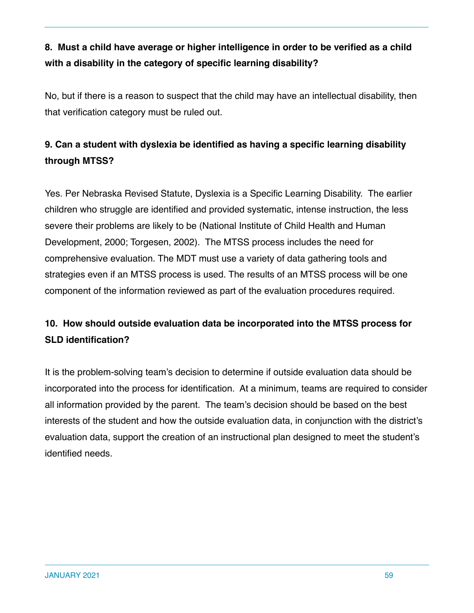# **8. Must a child have average or higher intelligence in order to be verified as a child with a disability in the category of specific learning disability?**

No, but if there is a reason to suspect that the child may have an intellectual disability, then that verification category must be ruled out.

# **9. Can a student with dyslexia be identified as having a specific learning disability through MTSS?**

Yes. Per Nebraska Revised Statute, Dyslexia is a Specific Learning Disability. The earlier children who struggle are identified and provided systematic, intense instruction, the less severe their problems are likely to be (National Institute of Child Health and Human Development, 2000; Torgesen, 2002). The MTSS process includes the need for comprehensive evaluation. The MDT must use a variety of data gathering tools and strategies even if an MTSS process is used. The results of an MTSS process will be one component of the information reviewed as part of the evaluation procedures required.

# **10. How should outside evaluation data be incorporated into the MTSS process for SLD identification?**

It is the problem-solving team's decision to determine if outside evaluation data should be incorporated into the process for identification. At a minimum, teams are required to consider all information provided by the parent. The team's decision should be based on the best interests of the student and how the outside evaluation data, in conjunction with the district's evaluation data, support the creation of an instructional plan designed to meet the student's identified needs.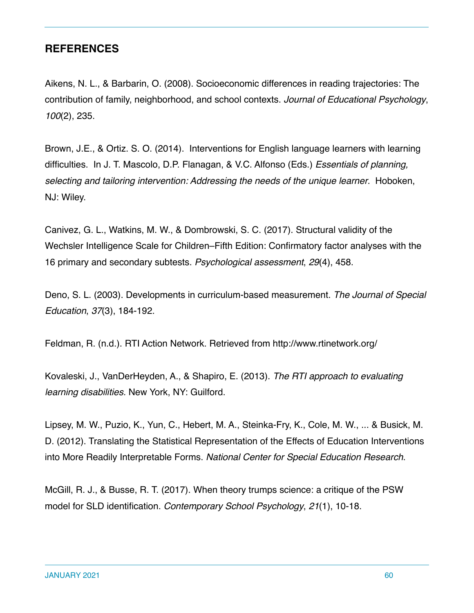#### **REFERENCES**

Aikens, N. L., & Barbarin, O. (2008). Socioeconomic differences in reading trajectories: The contribution of family, neighborhood, and school contexts. *Journal of Educational Psychology*, *100*(2), 235.

Brown, J.E., & Ortiz. S. O. (2014). Interventions for English language learners with learning difficulties. In J. T. Mascolo, D.P. Flanagan, & V.C. Alfonso (Eds.) *Essentials of planning, selecting and tailoring intervention: Addressing the needs of the unique learner*. Hoboken, NJ: Wiley.

Canivez, G. L., Watkins, M. W., & Dombrowski, S. C. (2017). Structural validity of the Wechsler Intelligence Scale for Children–Fifth Edition: Confirmatory factor analyses with the 16 primary and secondary subtests. *Psychological assessment*, *29*(4), 458.

Deno, S. L. (2003). Developments in curriculum-based measurement. *The Journal of Special Education*, *37*(3), 184-192.

Feldman, R. (n.d.). RTI Action Network. Retrieved from<http://www.rtinetwork.org/>

Kovaleski, J., VanDerHeyden, A., & Shapiro, E. (2013). *The RTI approach to evaluating learning disabilities.* New York, NY: Guilford.

Lipsey, M. W., Puzio, K., Yun, C., Hebert, M. A., Steinka-Fry, K., Cole, M. W., ... & Busick, M. D. (2012). Translating the Statistical Representation of the Effects of Education Interventions into More Readily Interpretable Forms. *National Center for Special Education Research*.

McGill, R. J., & Busse, R. T. (2017). When theory trumps science: a critique of the PSW model for SLD identification. *Contemporary School Psychology*, *21*(1), 10-18.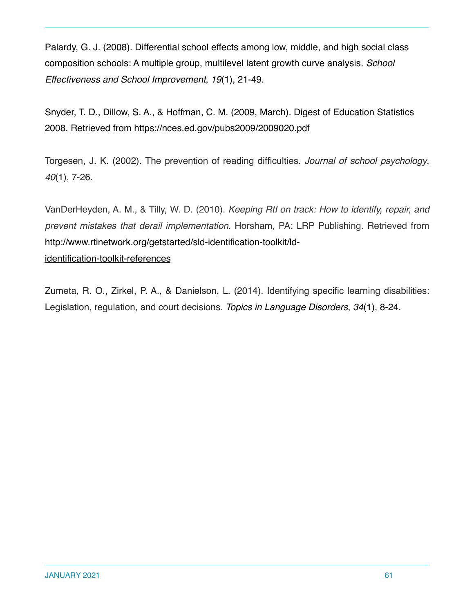Palardy, G. J. (2008). Differential school effects among low, middle, and high social class composition schools: A multiple group, multilevel latent growth curve analysis. *School Effectiveness and School Improvement*, *19*(1), 21-49.

Snyder, T. D., Dillow, S. A., & Hoffman, C. M. (2009, March). Digest of Education Statistics 2008. Retrieved from https://nces.ed.gov/pubs2009/2009020.pdf

Torgesen, J. K. (2002). The prevention of reading difficulties. *Journal of school psychology*, *40*(1), 7-26.

VanDerHeyden, A. M., & Tilly, W. D. (2010). *Keeping RtI on track: How to identify, repair, and prevent mistakes that derail implementation*. Horsham, PA: LRP Publishing. Retrieved from [http://www.rtinetwork.org/getstarted/sld-identification-toolkit/ld](http://www.rtinetwork.org/getstarted/sld-identification-toolkit/ld-identification-toolkit-references)[identification-toolkit-references](http://www.rtinetwork.org/getstarted/sld-identification-toolkit/ld-identification-toolkit-references)

Zumeta, R. O., Zirkel, P. A., & Danielson, L. (2014). Identifying specific learning disabilities: Legislation, regulation, and court decisions. *Topics in Language Disorders*, *34*(1), 8-24.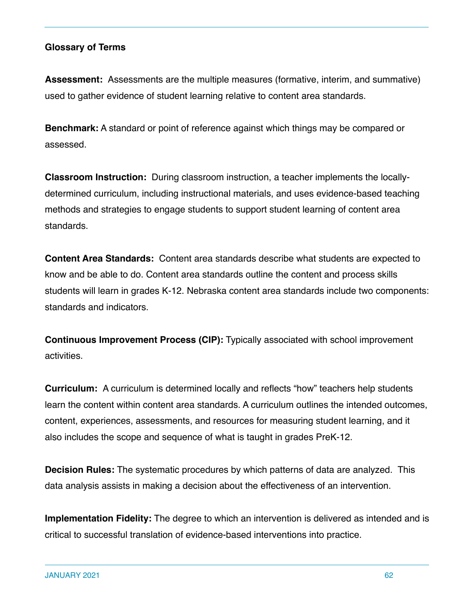#### **Glossary of Terms**

**Assessment:** Assessments are the multiple measures (formative, interim, and summative) used to gather evidence of student learning relative to content area standards.

**Benchmark:** A standard or point of reference against which things may be compared or assessed.

**Classroom Instruction:** During classroom instruction, a teacher implements the locallydetermined curriculum, including instructional materials, and uses evidence-based teaching methods and strategies to engage students to support student learning of content area standards.

**Content Area Standards:** Content area standards describe what students are expected to know and be able to do. Content area standards outline the content and process skills students will learn in grades K-12. Nebraska content area standards include two components: standards and indicators.

**Continuous Improvement Process (CIP):** Typically associated with school improvement activities.

**Curriculum:** A curriculum is determined locally and reflects "how" teachers help students learn the content within content area standards. A curriculum outlines the intended outcomes, content, experiences, assessments, and resources for measuring student learning, and it also includes the scope and sequence of what is taught in grades PreK-12.

**Decision Rules:** The systematic procedures by which patterns of data are analyzed. This data analysis assists in making a decision about the effectiveness of an intervention.

**Implementation Fidelity:** The degree to which an intervention is delivered as intended and is critical to successful translation of evidence-based interventions into practice.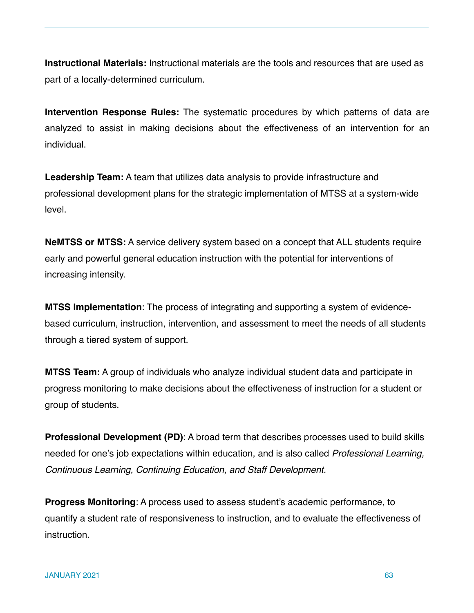**Instructional Materials:** Instructional materials are the tools and resources that are used as part of a locally-determined curriculum.

**Intervention Response Rules:** The systematic procedures by which patterns of data are analyzed to assist in making decisions about the effectiveness of an intervention for an individual.

**Leadership Team:** A team that utilizes data analysis to provide infrastructure and professional development plans for the strategic implementation of MTSS at a system-wide level.

**NeMTSS or MTSS:** A service delivery system based on a concept that ALL students require early and powerful general education instruction with the potential for interventions of increasing intensity.

**MTSS Implementation**: The process of integrating and supporting a system of evidencebased curriculum, instruction, intervention, and assessment to meet the needs of all students through a tiered system of support.

**MTSS Team:** A group of individuals who analyze individual student data and participate in progress monitoring to make decisions about the effectiveness of instruction for a student or group of students.

**Professional Development (PD)**: A broad term that describes processes used to build skills needed for one's job expectations within education, and is also called *Professional Learning, Continuous Learning, Continuing Education, and Staff Development.*

**Progress Monitoring**: A process used to assess student's academic performance, to quantify a student rate of responsiveness to instruction, and to evaluate the effectiveness of instruction.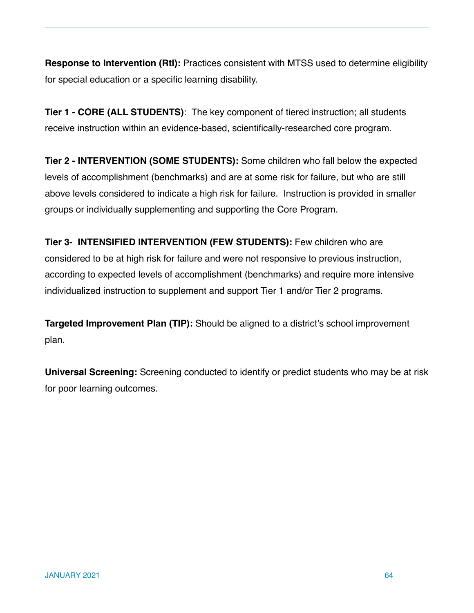**Response to Intervention (RtI):** Practices consistent with MTSS used to determine eligibility for special education or a specific learning disability.

**Tier 1 - CORE (ALL STUDENTS)**: The key component of tiered instruction; all students receive instruction within an evidence-based, scientifically-researched core program.

**Tier 2 - INTERVENTION (SOME STUDENTS):** Some children who fall below the expected levels of accomplishment (benchmarks) and are at some risk for failure, but who are still above levels considered to indicate a high risk for failure. Instruction is provided in smaller groups or individually supplementing and supporting the Core Program.

**Tier 3- INTENSIFIED INTERVENTION (FEW STUDENTS):** Few children who are considered to be at high risk for failure and were not responsive to previous instruction, according to expected levels of accomplishment (benchmarks) and require more intensive individualized instruction to supplement and support Tier 1 and/or Tier 2 programs.

**Targeted Improvement Plan (TIP):** Should be aligned to a district's school improvement plan.

**Universal Screening:** Screening conducted to identify or predict students who may be at risk for poor learning outcomes.